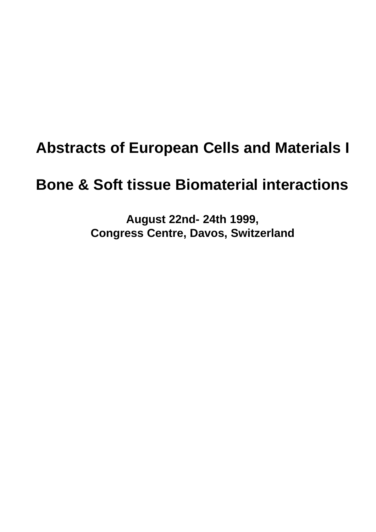# **Abstracts of European Cells and Materials I**

# **Bone & Soft tissue Biomaterial interactions**

**August 22nd- 24th 1999, Congress Centre, Davos, Switzerland**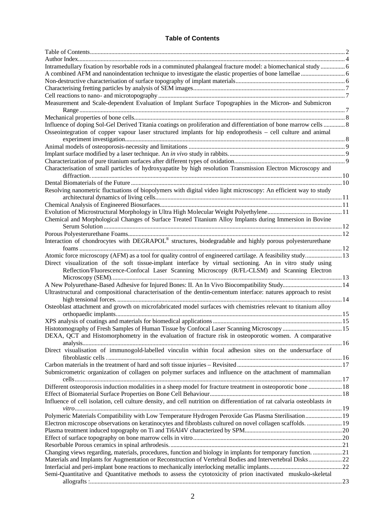## **Table of Contents**

| Author Index                                                                                                                                                                                             |  |
|----------------------------------------------------------------------------------------------------------------------------------------------------------------------------------------------------------|--|
| Intramedullary fixation by resorbable rods in a comminuted phalangeal fracture model: a biomechanical study  6                                                                                           |  |
|                                                                                                                                                                                                          |  |
|                                                                                                                                                                                                          |  |
|                                                                                                                                                                                                          |  |
|                                                                                                                                                                                                          |  |
| Measurement and Scale-dependent Evaluation of Implant Surface Topographies in the Micron- and Submicron                                                                                                  |  |
|                                                                                                                                                                                                          |  |
| Influence of doping Sol-Gel Derived Titania coatings on proliferation and differentiation of bone marrow cells  8                                                                                        |  |
| Osseointegration of copper vapour laser structured implants for hip endoprothesis – cell culture and animal                                                                                              |  |
|                                                                                                                                                                                                          |  |
|                                                                                                                                                                                                          |  |
|                                                                                                                                                                                                          |  |
| Characterisation of small particles of hydroxyapatite by high resolution Transmission Electron Microscopy and                                                                                            |  |
|                                                                                                                                                                                                          |  |
| Resolving nanometric fluctuations of biopolymers with digital video light microscopy: An efficient way to study                                                                                          |  |
|                                                                                                                                                                                                          |  |
|                                                                                                                                                                                                          |  |
| Chemical and Morphological Changes of Surface Treated Titanium Alloy Implants during Immersion in Bovine                                                                                                 |  |
|                                                                                                                                                                                                          |  |
|                                                                                                                                                                                                          |  |
| Interaction of chondrocytes with DEGRAPOL® structures, biodegradable and highly porous polyesterurethane                                                                                                 |  |
| Atomic force microscopy (AFM) as a tool for quality control of engineered cartilage. A feasibility study 13                                                                                              |  |
| Direct visualization of the soft tissue-implant interface by virtual sectioning. An in vitro study using<br>Reflection/Fluorescence-Confocal Laser Scanning Microscopy (R/FL-CLSM) and Scanning Electron |  |
|                                                                                                                                                                                                          |  |
| A New Polyurethane-Based Adhesive for Injured Bones: II. An In Vivo Biocompatibility Study 14                                                                                                            |  |
| Ultrastructural and compositional characterisation of the dentin-cementum interface: natures approach to resist                                                                                          |  |
| Osteoblast attachment and growth on microfabricated model surfaces with chemistries relevant to titanium alloy                                                                                           |  |
|                                                                                                                                                                                                          |  |
|                                                                                                                                                                                                          |  |
| DEXA, QCT and Histomorphometry in the evaluation of fracture risk in osteoporotic women. A comparative                                                                                                   |  |
| Direct visualisation of immunogold-labelled vinculin within focal adhesion sites on the undersurface of                                                                                                  |  |
|                                                                                                                                                                                                          |  |
| Submicrometric organization of collagen on polymer surfaces and influence on the attachment of mammalian                                                                                                 |  |
| Different osteoporosis induction modalities in a sheep model for fracture treatment in osteoporotic bone  18                                                                                             |  |
|                                                                                                                                                                                                          |  |
| Influence of cell isolation, cell culture density, and cell nutrition on differentiation of rat calvaria osteoblasts in                                                                                  |  |
| Polymeric Materials Compatibility with Low Temperature Hydrogen Peroxide Gas Plasma Sterilisation 19                                                                                                     |  |
| Electron microscope observations on keratinocytes and fibroblasts cultured on novel collagen scaffolds.  19                                                                                              |  |
|                                                                                                                                                                                                          |  |
|                                                                                                                                                                                                          |  |
|                                                                                                                                                                                                          |  |
| Changing views regarding, materials, procedures, function and biology in implants for temporary function. 21                                                                                             |  |
| Materials and Implants for Augmentation or Reconstruction of Vertebral Bodies and Intervertebral Disks22                                                                                                 |  |
|                                                                                                                                                                                                          |  |
| Semi-Quantitative and Quantitative methods to assess the cytotoxicity of prion inactivated muskulo-skeletal                                                                                              |  |
|                                                                                                                                                                                                          |  |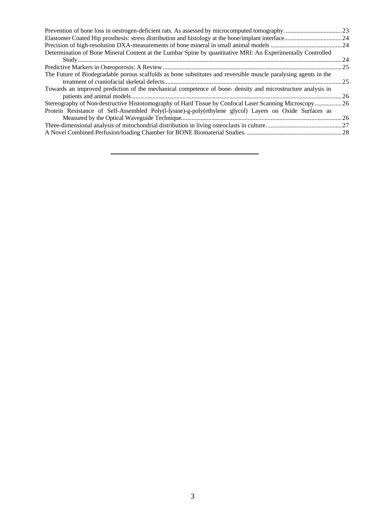|                                                                                                                 | .23  |
|-----------------------------------------------------------------------------------------------------------------|------|
|                                                                                                                 |      |
|                                                                                                                 |      |
| Determination of Bone Mineral Content at the Lumbar Spine by quantitative MRI: An Experimentally Controlled     |      |
|                                                                                                                 | 24   |
|                                                                                                                 | . 25 |
| The Future of Biodegradable porous scaffolds as bone substitutes and reversible muscle paralysing agents in the |      |
|                                                                                                                 | .25  |
| Towards an improved prediction of the mechanical competence of bone-density and microstructure analysis in      |      |
|                                                                                                                 | .26  |
| Stereography of Non-destructive Histotomography of Hard Tissue by Confocal Laser Scanning Microscopy26          |      |
| Protein Resistance of Self-Assembled Poly(l-lysine)-g-poly(ethylene glycol) Layers on Oxide Surfaces as         |      |
|                                                                                                                 | .26  |
|                                                                                                                 |      |
|                                                                                                                 |      |
|                                                                                                                 |      |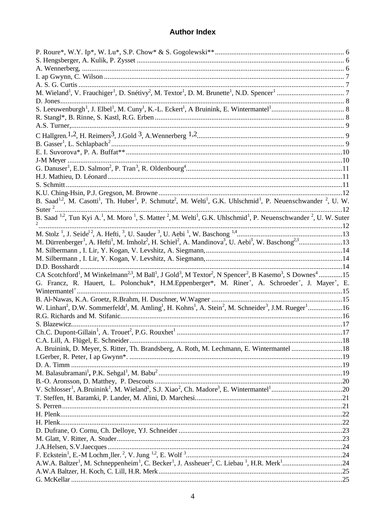## **Author Index**

| B. Saad <sup>1,2</sup> , M. Casotti <sup>1</sup> , Th. Huber <sup>1</sup> , P. Schmutz <sup>2</sup> , M. Welti <sup>1</sup> , G.K. Uhlschmid <sup>1</sup> , P. Neuenschwander <sup>2</sup> , U. W.       |  |
|----------------------------------------------------------------------------------------------------------------------------------------------------------------------------------------------------------|--|
|                                                                                                                                                                                                          |  |
| B. Saad <sup>1,2</sup> , Tun Kyi A. <sup>1</sup> , M. Moro <sup>1</sup> , S. Matter <sup>2</sup> , M. Welti <sup>1</sup> , G.K. Uhlschmid <sup>1</sup> , P. Neuenschwander <sup>2</sup> , U. W. Suter    |  |
| $\overline{2}$                                                                                                                                                                                           |  |
|                                                                                                                                                                                                          |  |
| M. Dürrenberger <sup>1</sup> , A. Hefti <sup>1</sup> , M. Imholz <sup>2</sup> , H. Schiel <sup>2</sup> , A. Mandinova <sup>3</sup> , U. Aebi <sup>3</sup> , W. Baschong <sup>2,3</sup> 13                |  |
|                                                                                                                                                                                                          |  |
|                                                                                                                                                                                                          |  |
|                                                                                                                                                                                                          |  |
| CA Scotchford <sup>1</sup> , M Winkelmann <sup>2,3</sup> , M Ball <sup>1</sup> , J Gold <sup>3</sup> , M Textor <sup>2</sup> , N Spencer <sup>2</sup> , B Kasemo <sup>3</sup> , S Downes <sup>4</sup> 15 |  |
| G. Francz, R. Hauert, L. Polonchuk*, H.M. Eppenberger*, M. Riner <sup>+</sup> , A. Schroeder <sup>+</sup> , J. Mayer <sup>+</sup> , E.                                                                   |  |
|                                                                                                                                                                                                          |  |
|                                                                                                                                                                                                          |  |
| W. Linhart <sup>1</sup> , D.W. Sommerfeldt <sup>1</sup> , M. Amling <sup>1</sup> , H. Kohns <sup>1</sup> , A. Stein <sup>2</sup> , M. Schneider <sup>3</sup> , J.M. Rueger <sup>1</sup> 16               |  |
|                                                                                                                                                                                                          |  |
|                                                                                                                                                                                                          |  |
| S. Blazewicz                                                                                                                                                                                             |  |
|                                                                                                                                                                                                          |  |
|                                                                                                                                                                                                          |  |
| A. Bruinink, D. Meyer, S. Ritter, Th. Brandsberg, A. Roth, M. Lechmann, E. Wintermantel 18                                                                                                               |  |
|                                                                                                                                                                                                          |  |
|                                                                                                                                                                                                          |  |
|                                                                                                                                                                                                          |  |
|                                                                                                                                                                                                          |  |
|                                                                                                                                                                                                          |  |
|                                                                                                                                                                                                          |  |
|                                                                                                                                                                                                          |  |
|                                                                                                                                                                                                          |  |
|                                                                                                                                                                                                          |  |
|                                                                                                                                                                                                          |  |
|                                                                                                                                                                                                          |  |
|                                                                                                                                                                                                          |  |
|                                                                                                                                                                                                          |  |
|                                                                                                                                                                                                          |  |
|                                                                                                                                                                                                          |  |
|                                                                                                                                                                                                          |  |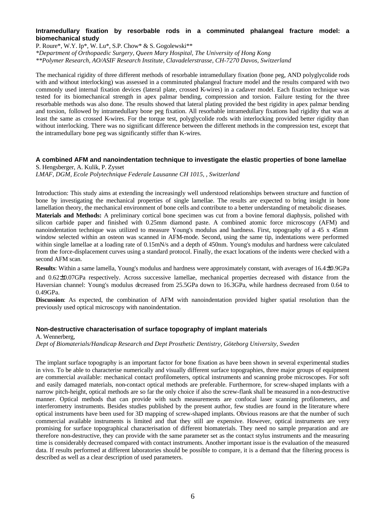## **Intramedullary fixation by resorbable rods in a comminuted phalangeal fracture model: a biomechanical study**

P. Roure\*, W.Y. Ip\*, W. Lu\*, S.P. Chow\* & S. Gogolewski\*\*

*\*Department of Orthopaedic Surgery, Queen Mary Hospital, The University of Hong Kong*

*\*\*Polymer Research, AO/ASIF Research Institute, Clavadelerstrasse, CH-7270 Davos, Switzerland*

The mechanical rigidity of three different methods of resorbable intramedullary fixation (bone peg, AND polyglycolide rods with and without interlocking) was assessed in a comminuted phalangeal fracture model and the results compared with two commonly used internal fixation devices (lateral plate, crossed K-wires) in a cadaver model. Each fixation technique was tested for its biomechanical strength in apex palmar bending, compression and torsion. Failure testing for the three resorbable methods was also done. The results showed that lateral plating provided the best rigidity in apex palmar bending and torsion, followed by intramedullary bone peg fixation. All resorbable intramedullary fixations had rigidity that was at least the same as crossed K-wires. For the torque test, polyglycolide rods with interlocking provided better rigidity than without interlocking. There was no significant difference between the different methods in the compression test, except that the intramedullary bone peg was significantly stiffer than K-wires.

## **A combined AFM and nanoindentation technique to investigate the elastic properties of bone lamellae**

S. Hengsberger, A. Kulik, P. Zysset *LMAF, DGM, Ecole Polytechnique Federale Lausanne CH 1015, , Switzerland*

Introduction: This study aims at extending the increasingly well understood relationships between structure and function of bone by investigating the mechanical properties of single lamellae. The results are expected to bring insight in bone lamellation theory, the mechanical environment of bone cells and contribute to a better understanding of metabolic diseases. **Materials and Methods:** A preliminary cortical bone specimen was cut from a bovine femoral diaphysis, polished with silicon carbide paper and finished with 0.25mm diamond paste. A combined atomic force microscopy (AFM) and nanoindentation technique was utilized to measure Young's modulus and hardness. First, topography of a 45 x 45mm window selected within an osteon was scanned in AFM-mode. Second, using the same tip, indentations were performed within single lamellae at a loading rate of 0.15mN/s and a depth of 450nm. Young's modulus and hardness were calculated from the force-displacement curves using a standard protocol. Finally, the exact locations of the indents were checked with a second AFM scan.

**Results**: Within a same lamella, Young's modulus and hardness were approximately constant, with averages of 16.4±0.9GPa and 0.62±0.07GPa respectively. Across successive lamellae, mechanical properties decreased with distance from the Haversian channel: Young's modulus decreased from 25.5GPa down to 16.3GPa, while hardness decreased from 0.64 to 0.49GPa.

**Discussion**: As expected, the combination of AFM with nanoindentation provided higher spatial resolution than the previously used optical microscopy with nanoindentation.

## **Non-destructive characterisation of surface topography of implant materials**

A. Wennerberg,

*Dept of Biomaterials/Handicap Research and Dept Prosthetic Dentistry, Göteborg University, Sweden*

The implant surface topography is an important factor for bone fixation as have been shown in several experimental studies in vivo. To be able to characterise numerically and visually different surface topographies, three major groups of equipment are commercial available: mechanical contact profilometers, optical instruments and scanning probe microscopes. For soft and easily damaged materials, non-contact optical methods are preferable. Furthermore, for screw-shaped implants with a narrow pitch-height, optical methods are so far the only choice if also the screw-flank shall be measured in a non-destructive manner. Optical methods that can provide with such measurements are confocal laser scanning profilometers, and interferometry instruments. Besides studies published by the present author, few studies are found in the literature where optical instruments have been used for 3D mapping of screw-shaped implants. Obvious reasons are that the number of such commercial available instruments is limited and that they still are expensive. However, optical instruments are very promising for surface topographical characterisation of different biomaterials. They need no sample preparation and are therefore non-destructive, they can provide with the same parameter set as the contact stylus instruments and the measuring time is considerably decreased compared with contact instruments. Another important issue is the evaluation of the measured data. If results performed at different laboratories should be possible to compare, it is a demand that the filtering process is described as well as a clear description of used parameters.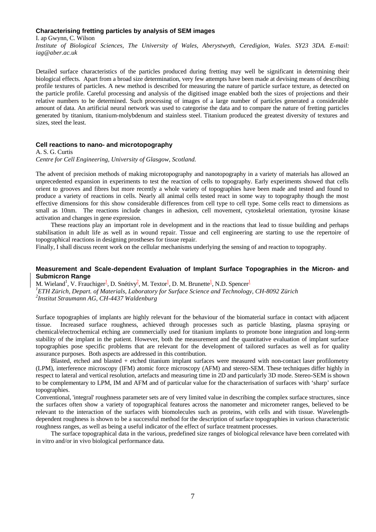## **Characterising fretting particles by analysis of SEM images**

I. ap Gwynn, C. Wilson

*Institute of Biological Sciences, The University of Wales, Aberystwyth, Ceredigion, Wales. SY23 3DA. E-mail: iag@aber.ac.uk*

Detailed surface characteristics of the particles produced during fretting may well be significant in determining their biological effects. Apart from a broad size determination, very few attempts have been made at devising means of describing profile textures of particles. A new method is described for measuring the nature of particle surface texture, as detected on the particle profile. Careful processing and analysis of the digitised image enabled both the sizes of projections and their relative numbers to be determined. Such processing of images of a large number of particles generated a considerable amount of data. An artificial neural network was used to categorise the data and to compare the nature of fretting particles generated by titanium, titanium-molybdenum and stainless steel. Titanium produced the greatest diversity of textures and sizes, steel the least.

## **Cell reactions to nano- and microtopography**

A. S. G. Curtis

*Centre for Cell Engineering, University of Glasgow, Scotland.* 

The advent of precision methods of making microtopography and nanotopography in a variety of materials has allowed an unprecedented expansion in experiments to test the reaction of cells to topography. Early experiments showed that cells orient to grooves and fibres but more recently a whole variety of topographies have been made and tested and found to produce a variety of reactions in cells. Nearly all animal cells tested react in some way to topography though the most effective dimensions for this show considerable differences from cell type to cell type. Some cells react to dimensions as small as 10nm. The reactions include changes in adhesion, cell movement, cytoskeletal orientation, tyrosine kinase activation and changes in gene expression.

These reactions play an important role in development and in the reactions that lead to tissue building and perhaps stabilisation in adult life as well as in wound repair. Tissue and cell engineering are starting to use the repertoire of topographical reactions in designing prostheses for tissue repair.

Finally, I shall discuss recent work on the cellular mechanisms underlying the sensing of and reaction to topography.

## **Measurement and Scale-dependent Evaluation of Implant Surface Topographies in the Micron- and Submicron Range**

M. Wieland<sup>1</sup>, V. Frauchiger<sup>1</sup>, D. Snétivy<sup>2</sup>, M. Textor<sup>1</sup>, D. M. Brunette<sup>1</sup>, N.D. Spencer<sup>1</sup> *1 ETH Zürich, Depart. of Materials, Laboratory for Surface Science and Technology, CH-8092 Zürich 2 Institut Straumann AG, CH-4437 Waldenburg*

Surface topographies of implants are highly relevant for the behaviour of the biomaterial surface in contact with adjacent tissue. Increased surface roughness, achieved through processes such as particle blasting, plasma spraying or chemical/electrochemical etching are commercially used for titanium implants to promote bone integration and long-term stability of the implant in the patient. However, both the measurement and the quantitative evaluation of implant surface topographies pose specific problems that are relevant for the development of tailored surfaces as well as for quality assurance purposes. Both aspects are addressed in this contribution.

Blasted, etched and blasted + etched titanium implant surfaces were measured with non-contact laser profilometry (LPM), interference microscopy (IFM) atomic force microscopy (AFM) and stereo-SEM. These techniques differ highly in respect to lateral and vertical resolution, artefacts and measuring time in 2D and particularly 3D mode. Stereo-SEM is shown to be complementary to LPM, IM and AFM and of particular value for the characterisation of surfaces with 'sharp' surface topographies.

Conventional, 'integral' roughness parameter sets are of very limited value in describing the complex surface structures, since the surfaces often show a variety of topographical features across the nanometer and micrometer ranges, believed to be relevant to the interaction of the surfaces with biomolecules such as proteins, with cells and with tissue. Wavelengthdependent roughness is shown to be a successful method for the description of surface topographies in various characteristic roughness ranges, as well as being a useful indicator of the effect of surface treatment processes.

The surface topographical data in the various, predefined size ranges of biological relevance have been correlated with in vitro and/or in vivo biological performance data.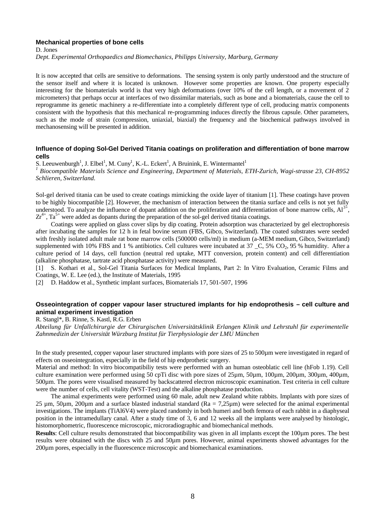#### **Mechanical properties of bone cells**

D. Jones

*Dept. Experimental Orthopaedics and Biomechanics, Philipps University, Marburg, Germany*

It is now accepted that cells are sensitive to deformations. The sensing system is only partly understood and the structure of the sensor itself and where it is located is unknown. However some properties are known. One property especially interesting for the biomaterials world is that very high deformations (over 10% of the cell length, or a movement of 2 micrometers) that perhaps occur at interfaces of two dissimilar materials, such as bone and a biomaterials, cause the cell to reprogramme its genetic machinery a re-differentiate into a completely different type of cell, producing matrix components consistent with the hypothesis that this mechanical re-programming induces directly the fibrous capsule. Other parameters, such as the mode of strain (compression, uniaxial, biaxial) the frequency and the biochemical pathways involved in mechanosensing will be presented in addition.

## **Influence of doping Sol-Gel Derived Titania coatings on proliferation and differentiation of bone marrow cells**

S. Leeuwenburgh<sup>1</sup>, J. Elbel<sup>1</sup>, M. Cuny<sup>1</sup>, K.-L. Eckert<sup>1</sup>, A Bruinink, E. Wintermantel<sup>1</sup>

*1 Biocompatible Materials Science and Engineering, Department of Materials, ETH-Zurich, Wagi-strasse 23, CH-8952 Schlieren, Switzerland.*

Sol-gel derived titania can be used to create coatings mimicking the oxide layer of titanium [1]. These coatings have proven to be highly biocompatible [2]. However, the mechanism of interaction between the titania surface and cells is not yet fully understood. To analyze the influence of dopant addition on the proliferation and differentiation of bone marrow cells,  $Al^{3+}$ ,  $Zr^{4+}$ , Ta<sup>5+</sup> were added as dopants during the preparation of the sol-gel derived titania coatings.

Coatings were applied on glass cover slips by dip coating. Protein adsorption was characterized by gel electrophoresis after incubating the samples for 12 h in fetal bovine serum (FBS, Gibco, Switzerland). The coated substrates were seeded with freshly isolated adult male rat bone marrow cells (500000 cells/ml) in medium (a-MEM medium, Gibco, Switzerland) supplemented with 10% FBS and 1 % antibiotics. Cell cultures were incubated at 37  $\,$  C, 5% CO<sub>2</sub>, 95 % humidity. After a culture period of 14 days, cell function (neutral red uptake, MTT conversion, protein content) and cell differentiation (alkaline phosphatase, tartrate acid phosphatase activity) were measured.

[1] S. Kothari et al., Sol-Gel Titania Surfaces for Medical Implants, Part 2: In Vitro Evaluation, Ceramic Films and Coatings, W. E. Lee (ed.), the Institute of Materials, 1995

[2] D. Haddow et al., Synthetic implant surfaces, Biomaterials 17, 501-507, 1996

## **Osseointegration of copper vapour laser structured implants for hip endoprothesis – cell culture and animal experiment investigation**

R. Stangl\*, B. Rinne, S. Kastl, R.G. Erben

*Abteilung für Unfallchirurgie der Chirurgischen Universitätsklinik Erlangen Klinik und Lehrstuhl für experimentelle Zahnmedizin der Universität Würzburg Institut für Tierphysiologie der LMU München*

In the study presented, copper vapour laser structured implants with pore sizes of 25 to 500 $\mu$ m were investigated in regard of effects on osseointegration, especially in the field of hip endprothetic surgery.

Material and method: In vitro biocompatibiliy tests were performed with an human osteoblatic cell line (hFob 1.19). Cell culture examination were performed using 50 cpTi disc with pore sizes of 25µm, 50µm, 100µm, 200µm, 300µm, 400µm, 500µm. The pores were visualised measured by backscattered electron microscopic examination. Test criteria in cell culture were the number of cells, cell vitality (WST-Test) and the alkaline phosphatase production.

The animal experiments were performed using 60 male, adult new Zealand white rabbits. Implants with pore sizes of 25  $\mu$ m, 50 $\mu$ m, 200 $\mu$ m and a surface blasted industrial standard (Ra = 7,25 $\mu$ m) were selected for the animal experimental investigations. The implants (TiAl6V4) were placed randomly in both humeri and both femora of each rabbit in a diaphyseal position in the intramedullary canal. After a study time of 3, 6 and 12 weeks all the implants were analysed by histologic, histomorphometric, fluorescence microscopic, microradiographic and biomechanical methods.

**Results**: Cell culture results demonstrated that biocompatibility was given in all implants except the 100µm pores. The best results were obtained with the discs with 25 and 50µm pores. However, animal experiments showed advantages for the 200µm pores, especially in the fluorescence microscopic and biomechanical examinations.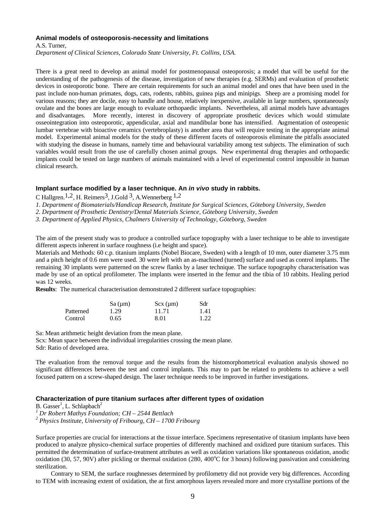#### **Animal models of osteoporosis-necessity and limitations**

A.S. Turner,

*Department of Clinical Sciences, Colorado State University, Ft. Collins, USA.*

There is a great need to develop an animal model for postmenopausal osteoporosis; a model that will be useful for the understanding of the pathogenesis of the disease, investigation of new therapies (e.g. SERMs) and evaluation of prosthetic devices in osteoporotic bone. There are certain requirements for such an animal model and ones that have been used in the past include non-human primates, dogs, cats, rodents, rabbits, guinea pigs and minipigs. Sheep are a promising model for various reasons; they are docile, easy to handle and house, relatively inexpensive, available in large numbers, spontaneously ovulate and the bones are large enough to evaluate orthopaedic implants. Nevertheless, all animal models have advantages and disadvantages. More recently, interest in discovery of appropriate prosthetic devices which would stimulate osseointegration into osteoporotic, appendicular, axial and mandibular bone has intensified. Augmentation of osteopenic lumbar vertebrae with bioactive ceramics (vertebroplasty) is another area that will require testing in the appropriate animal model. Experimental animal models for the study of these different facets of osteoporosis eliminate the pitfalls associated with studying the disease in humans, namely time and behavioural variability among test subjects. The elimination of such variables would result from the use of carefully chosen animal groups. New experimental drug therapies and orthopaedic implants could be tested on large numbers of animals maintained with a level of experimental control impossible in human clinical research.

#### **Implant surface modified by a laser technique. An** *in vivo* **study in rabbits.**

C Hallgren.<sup>1,2</sup>, H. Reimers<sup>3</sup>, J.Gold<sup>3</sup>, A.Wennerberg <sup>1,2</sup>

*1. Department of Biomaterials/Handicap Research, Institute for Surgical Sciences, Göteborg University, Sweden*

*2. Department of Prosthetic Dentistry/Dental Materials Science, Göteborg University, Sweden*

*3. Department of Applied Physics, Chalmers University of Technology, Göteborg, Sweden*

The aim of the present study was to produce a controlled surface topography with a laser technique to be able to investigate different aspects inherent in surface roughness (i.e height and space).

Materials and Methods: 60 c.p. titanium implants (Nobel Biocare, Sweden) with a length of 10 mm, outer diameter 3.75 mm and a pitch height of 0.6 mm were used. 30 were left with an as-machined (turned) surface and used as control implants. The remaining 30 implants were patterned on the screw flanks by a laser technique. The surface topography characterisation was made by use of an optical profilometer. The implants were inserted in the femur and the tibia of 10 rabbits. Healing period was 12 weeks.

**Results**: The numerical characterisation demonstrated 2 different surface topographies:

|           | $Sa \,(\mu m)$ | $Scx \ (\mu m)$ | Sdr  |
|-----------|----------------|-----------------|------|
| Patterned | 1.29           | 11.71           | 1.41 |
| Control   | 0.65           | 8.01            | 1.22 |

Sa: Mean arithmetic height deviation from the mean plane.

Scx: Mean space between the individual irregularities crossing the mean plane.

Sdr: Ratio of developed area.

The evaluation from the removal torque and the results from the histomorphometrical evaluation analysis showed no significant differences between the test and control implants. This may to part be related to problems to achieve a well focused pattern on a screw-shaped design. The laser technique needs to be improved in further investigations.

## **Characterization of pure titanium surfaces after different types of oxidation**

B. Gasser<sup>1</sup>, L. Schlapbach<sup>2</sup>

*1 Dr Robert Mathys Foundation; CH – 2544 Bettlach*

*2 Physics Institute, University of Fribourg, CH – 1700 Fribourg*

Surface properties are crucial for interactions at the tissue interface. Specimens representative of titanium implants have been produced to analyze physico-chemical surface properties of differently machined and oxidized pure titanium surfaces. This permitted the determination of surface-treatment attributes as well as oxidation variations like spontaneous oxidation, anodic oxidation (30, 57, 90V) after pickling or thermal oxidation (280, 400 $^{\circ}$ C for 3 hours) following passivation and considering sterilization.

Contrary to SEM, the surface roughnesses determined by profilometry did not provide very big differences. According to TEM with increasing extent of oxidation, the at first amorphous layers revealed more and more crystalline portions of the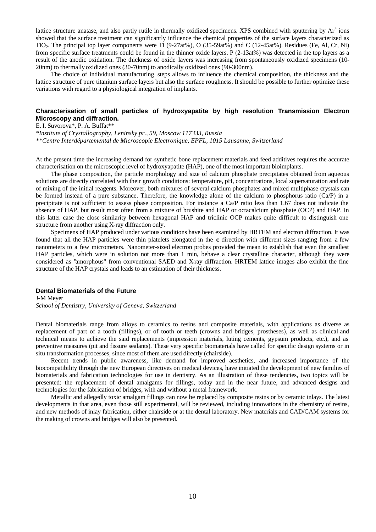lattice structure anatase, and also partly rutile in thermally oxidized specimens. XPS combined with sputtering by  $Ar^+$  ions showed that the surface treatment can significantly influence the chemical properties of the surface layers characterized as TiO2. The principal top layer components were Ti (9-27at%), O (35-59at%) and C (12-45at%). Residues (Fe, Al, Cr, Ni) from specific surface treatments could be found in the thinner oxide layers. P (2-13at%) was detected in the top layers as a result of the anodic oxidation. The thickness of oxide layers was increasing from spontaneously oxidized specimens (10- 20nm) to thermally oxidized ones (30-70nm) to anodically oxidized ones (90-300nm).

The choice of individual manufacturing steps allows to influence the chemical composition, the thickness and the lattice structure of pure titanium surface layers but also the surface roughness. It should be possible to further optimize these variations with regard to a physiological integration of implants.

## **Characterisation of small particles of hydroxyapatite by high resolution Transmission Electron Microscopy and diffraction.**

E. I. Suvorova\*, P. A. Buffat\*\*

*\*Institute of Crystallography, Leninsky pr., 59, Moscow 117333, Russia \*\*Centre Interdépartemental de Microscopie Electronique, EPFL, 1015 Lausanne, Switzerland*

At the present time the increasing demand for synthetic bone replacement materials and feed additives requires the accurate characterisation on the microscopic level of hydroxyapatite (HAP), one of the most important bioimplants.

The phase composition, the particle morphology and size of calcium phosphate precipitates obtained from aqueous solutions are directly correlated with their growth conditions: temperature, pH, concentrations, local supersaturation and rate of mixing of the initial reagents. Moreover, both mixtures of several calcium phosphates and mixed multiphase crystals can be formed instead of a pure substance. Therefore, the knowledge alone of the calcium to phosphorus ratio (Ca/P) in a precipitate is not sufficient to assess phase composition. For instance a Ca/P ratio less than 1.67 does not indicate the absence of HAP, but result most often from a mixture of brushite and HAP or octacalcium phosphate (OCP) and HAP. In this latter case the close similarity between hexagonal HAP and triclinic OCP makes quite difficult to distinguish one structure from another using X-ray diffraction only.

Specimens of HAP produced under various conditions have been examined by HRTEM and electron diffraction. It was found that all the HAP particles were thin platelets elongated in the **c** direction with different sizes ranging from a few nanometers to a few micrometers. Nanometer-sized electron probes provided the mean to establish that even the smallest HAP particles, which were in solution not more than 1 min, behave a clear crystalline character, although they were considered as "amorphous" from conventional SAED and X-ray diffraction. HRTEM lattice images also exhibit the fine structure of the HAP crystals and leads to an estimation of their thickness.

#### **Dental Biomaterials of the Future**

J-M Meyer *School of Dentistry, University of Geneva, Switzerland*

Dental biomaterials range from alloys to ceramics to resins and composite materials, with applications as diverse as replacement of part of a tooth (fillings), or of tooth or teeth (crowns and bridges, prostheses), as well as clinical and technical means to achieve the said replacements (impression materials, luting cements, gypsum products, etc.), and as preventive measures (pit and fissure sealants). These very specific biomaterials have called for specific design systems or in situ transformation processes, since most of them are used directly (chairside).

Recent trends in public awareness, like demand for improved aesthetics, and increased importance of the biocompatibility through the new European directives on medical devices, have initiated the development of new families of biomaterials and fabrication technologies for use in dentistry. As an illustration of these tendencies, two topics will be presented: the replacement of dental amalgams for fillings, today and in the near future, and advanced designs and technologies for the fabrication of bridges, with and without a metal framework.

Metallic and allegedly toxic amalgam fillings can now be replaced by composite resins or by ceramic inlays. The latest developments in that area, even those still experimental, will be reviewed, including innovations in the chemistry of resins, and new methods of inlay fabrication, either chairside or at the dental laboratory. New materials and CAD/CAM systems for the making of crowns and bridges will also be presented.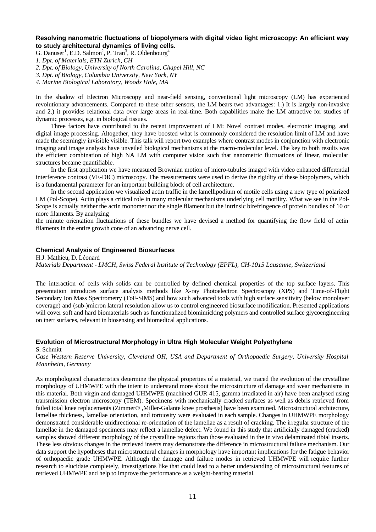## **Resolving nanometric fluctuations of biopolymers with digital video light microscopy: An efficient way to study architectural dynamics of living cells.**

G. Danuser<sup>1</sup>, E.D. Salmon<sup>2</sup>, P. Tran<sup>3</sup>, R. Oldenbourg<sup>4</sup>

*1. Dpt. of Materials, ETH Zurich, CH*

*2. Dpt. of Biology, University of North Carolina, Chapel Hill, NC*

*3. Dpt. of Biology, Columbia University, New York, NY*

*4. Marine Biological Laboratory, Woods Hole, MA*

In the shadow of Electron Microscopy and near-field sensing, conventional light microscopy (LM) has experienced revolutionary advancements. Compared to these other sensors, the LM bears two advantages: 1.) It is largely non-invasive and 2.) it provides relational data over large areas in real-time. Both capabilities make the LM attractive for studies of dynamic processes, e.g. in biological tissues.

Three factors have contributed to the recent improvement of LM: Novel contrast modes, electronic imaging, and digital image processing. Altogether, they have boosted what is commonly considered the resolution limit of LM and have made the seemingly invisible visible. This talk will report two examples where contrast modes in conjunction with electronic imaging and image analysis have unveiled biological mechanisms at the macro-molecular level. The key to both results was the efficient combination of high NA LM with computer vision such that nanometric fluctuations of linear, molecular structures became quantifiable.

In the first application we have measured Brownian motion of micro-tubules imaged with video enhanced differential interference contrast (VE-DIC) microscopy. The measurements were used to derive the rigidity of these biopolymers, which is a fundamental parameter for an important building block of cell architecture.

In the second application we visualized actin traffic in the lamellipodium of motile cells using a new type of polarized LM (Pol-Scope). Actin plays a critical role in many molecular mechanisms underlying cell motility. What we see in the Pol-Scope is actually neither the actin monomer nor the single filament but the intrinsic birefringence of protein bundles of 10 or more filaments. By analyzing

the minute orientation fluctuations of these bundles we have devised a method for quantifying the flow field of actin filaments in the entire growth cone of an advancing nerve cell.

#### **Chemical Analysis of Engineered Biosurfaces**

H.J. Mathieu, D. Léonard *Materials Department - LMCH, Swiss Federal Institute of Technology (EPFL), CH-1015 Lausanne, Switzerland*

The interaction of cells with solids can be controlled by defined chemical properties of the top surface layers. This presentation introduces surface analysis methods like X-ray Photoelectron Spectroscopy (XPS) and Time-of-Flight Secondary Ion Mass Spectrometry (ToF-SIMS) and how such advanced tools with high surface sensitivity (below monolayer coverage) and (sub-)micron lateral resolution allow us to control engineered biosurface modification. Presented applications will cover soft and hard biomaterials such as functionalized biomimicking polymers and controlled surface glycoengineering on inert surfaces, relevant in biosensing and biomedical applications.

#### **Evolution of Microstructural Morphology in Ultra High Molecular Weight Polyethylene**

S. Schmitt

*Case Western Reserve University, Cleveland OH, USA and Department of Orthopaedic Surgery, University Hospital Mannheim, Germany*

As morphological characteristics determine the physical properties of a material, we traced the evolution of the crystalline morphology of UHMWPE with the intent to understand more about the microstructure of damage and wear mechanisms in this material. Both virgin and damaged UHMWPE (machined GUR 415, gamma irradiated in air) have been analysed using transmission electron microscopy (TEM). Specimens with mechanically cracked surfaces as well as debris retrieved from failed total knee replacements (Zimmer® ,Miller-Galante knee prosthesis) have been examined. Microstructural architecture, lamellae thickness, lamellae orientation, and tortuosity were evaluated in each sample. Changes in UHMWPE morphology demonstrated considerable unidirectional re-orientation of the lamellae as a result of cracking. The irregular structure of the lamellae in the damaged specimens may reflect a lamellae defect. We found in this study that artificially damaged (cracked) samples showed different morphology of the crystalline regions than those evaluated in the in vivo delaminated tibial inserts. These less obvious changes in the retrieved inserts may demonstrate the difference in microstructural failure mechanism. Our data support the hypotheses that microstructural changes in morphology have important implications for the fatigue behavior of orthopaedic grade UHMWPE. Although the damage and failure modes in retrieved UHMWPE will require further research to elucidate completely, investigations like that could lead to a better understanding of microstructural features of retrieved UHMWPE and help to improve the performance as a weight-bearing material.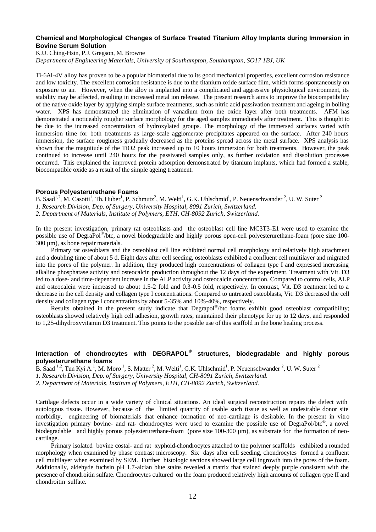## **Chemical and Morphological Changes of Surface Treated Titanium Alloy Implants during Immersion in Bovine Serum Solution**

K.U. Ching-Hsin, P.J. Gregson, M. Browne

*Department of Engineering Materials, University of Southampton, Southampton, SO17 1BJ, UK*

Ti-6Al-4V alloy has proven to be a popular biomaterial due to its good mechanical properties, excellent corrosion resistance and low toxicity. The excellent corrosion resistance is due to the titanium oxide surface film, which forms spontaneously on exposure to air. However, when the alloy is implanted into a complicated and aggressive physiological environment, its stability may be affected, resulting in increased metal ion release. The present research aims to improve the biocompatibility of the native oxide layer by applying simple surface treatments, such as nitric acid passivation treatment and ageing in boiling water. XPS has demonstrated the elimination of vanadium from the oxide layer after both treatments. AFM has demonstrated a noticeably rougher surface morphology for the aged samples immediately after treatment. This is thought to be due to the increased concentration of hydroxylated groups. The morphology of the immersed surfaces varied with immersion time for both treatments as large-scale agglomerate precipitates appeared on the surface. After 240 hours immersion, the surface roughness gradually decreased as the proteins spread across the metal surface. XPS analysis has shown that the magnitude of the TiO2 peak increased up to 10 hours immersion for both treatments. However, the peak continued to increase until 240 hours for the passivated samples only, as further oxidation and dissolution processes occurred. This explained the improved protein adsorption demonstrated by titanium implants, which had formed a stable, biocompatible oxide as a result of the simple ageing treatment.

#### **Porous Polyesterurethane Foams**

B. Saad<sup>1,2</sup>, M. Casotti<sup>1</sup>, Th. Huber<sup>1</sup>, P. Schmutz<sup>2</sup>, M. Welti<sup>1</sup>, G.K. Uhlschmid<sup>1</sup>, P. Neuenschwander <sup>2</sup>, U. W. Suter <sup>2</sup> *1. Research Division, Dep. of Surgery, University Hospital, 8091 Zurich, Switzerland. 2. Department of Materials, Institute of Polymers, ETH, CH-8092 Zurich, Switzerland.*

In the present investigation, primary rat osteoblasts and the osteoblast cell line MC3T3-E1 were used to examine the possible use of DegraPol® /btc, a novel biodegradable and highly porous open-cell polyesterurethane-foam (pore size 100- 300 µm), as bone repair materials.

Primary rat osteoblasts and the osteoblast cell line exhibited normal cell morphology and relatively high attachment and a doubling time of about 5 d. Eight days after cell seeding, osteoblasts exhibited a confluent cell multilayer and migrated into the pores of the polymer. In addition, they produced high concentrations of collagen type I and expressed increasing alkaline phosphatase activity and osteocalcin production throughout the 12 days of the experiment. Treatment with Vit. D3 led to a dose- and time-dependent increase in the ALP activity and osteocalcin concentration. Compared to control cells, ALP and osteocalcin were increased to about 1.5-2 fold and 0.3-0.5 fold, respectively. In contrast, Vit. D3 treatment led to a decrease in the cell density and collagen type I concentrations. Compared to untreated osteoblasts, Vit. D3 decreased the cell density and collagen type I concentrations by about 5-35% and 10%-40%, respectively.

Results obtained in the present study indicate that Degrapol®/btc foams exhibit good osteoblast compatibility; osteoblasts showed relatively high cell adhesion, growth rates, maintained their phenotype for up to 12 days, and responded to 1,25-dihydroxyvitamin D3 treatment. This points to the possible use of this scaffold in the bone healing process.

## **Interaction of chondrocytes with DEGRAPOL® structures, biodegradable and highly porous polyesterurethane foams**

B. Saad <sup>1,2</sup>, Tun Kyi A.<sup>1</sup>, M. Moro<sup>1</sup>, S. Matter <sup>2</sup>, M. Welti<sup>1</sup>, G.K. Uhlschmid<sup>1</sup>, P. Neuenschwander <sup>2</sup>, U. W. Suter <sup>2</sup>

*1. Research Division, Dep. of Surgery, University Hospital, CH-8091 Zurich, Switzerland.*

*2. Department of Materials, Institute of Polymers, ETH, CH-8092 Zurich, Switzerland.*

Cartilage defects occur in a wide variety of clinical situations. An ideal surgical reconstruction repairs the defect with autologous tissue. However, because of the limited quantity of usable such tissue as well as undesirable donor site morbidity, engineering of biomaterials that enhance formation of neo-cartilage is desirable. In the present in vitro investigation primary bovine- and rat- chondrocytes were used to examine the possible use of DegraPol/btc®, a novel biodegradable and highly porous polyesterurethane-foam (pore size 100-300 µm), as substrate for the formation of neocartilage.

Primary isolated bovine costal- and rat xyphoid-chondrocytes attached to the polymer scaffolds exhibited a rounded morphology when examined by phase contrast microscopy. Six days after cell seeding, chondrocytes formed a confluent cell multilayer when examined by SEM. Further histologic sections showed large cell ingrowth into the pores of the foam. Additionally, aldehyde fuchsin pH 1.7-alcian blue stains revealed a matrix that stained deeply purple consistent with the presence of chondroitin sulfate. Chondrocytes cultured on the foam produced relatively high amounts of collagen type II and chondroitin sulfate.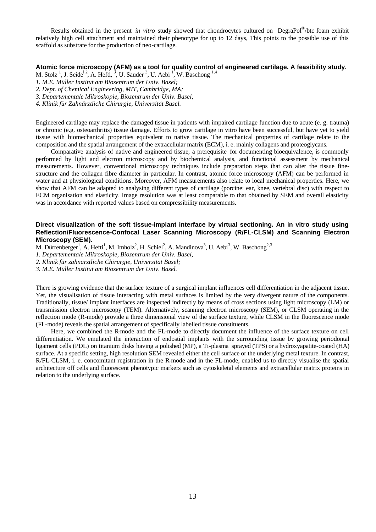Results obtained in the present *in vitro* study showed that chondrocytes cultured on DegraPol® /btc foam exhibit relatively high cell attachment and maintained their phenotype for up to 12 days, This points to the possible use of this scaffold as substrate for the production of neo-cartilage.

#### **Atomic force microscopy (AFM) as a tool for quality control of engineered cartilage. A feasibility study.**

M. Stolz<sup>1</sup>, J. Seide<sup>12</sup>, A. Hefti, <sup>3</sup>, U. Sauder<sup>3</sup>, U. Aebi<sup>1</sup>, W. Baschong<sup>1,4</sup>

- *1. M.E. Müller Institut am Biozentrum der Univ. Basel;*
- *2. Dept. of Chemical Engineering, MIT, Cambridge, MA;*

*3. Departementale Mikroskopie, Biozentrum der Univ. Basel;* 

*4. Klinik für Zahnärztliche Chirurgie, Universität Basel.*

Engineered cartilage may replace the damaged tissue in patients with impaired cartilage function due to acute (e. g. trauma) or chronic (e.g. osteoarthritis) tissue damage. Efforts to grow cartilage in vitro have been successful, but have yet to yield tissue with biomechanical properties equivalent to native tissue. The mechanical properties of cartilage relate to the composition and the spatial arrangement of the extracellular matrix (ECM), i. e. mainly collagens and proteoglycans.

Comparative analysis of native and engineered tissue, a prerequisite for documenting bioequivalence, is commonly performed by light and electron microscopy and by biochemical analysis, and functional assessment by mechanical measurements. However, conventional microscopy techniques include preparation steps that can alter the tissue finestructure and the collagen fibre diameter in particular. In contrast, atomic force microscopy (AFM) can be performed in water and at physiological conditions. Moreover, AFM measurements also relate to local mechanical properties. Here, we show that AFM can be adapted to analysing different types of cartilage (porcine: ear, knee, vertebral disc) with respect to ECM organisation and elasticity. Image resolution was at least comparable to that obtained by SEM and overall elasticity was in accordance with reported values based on compressibility measurements.

## **Direct visualization of the soft tissue-implant interface by virtual sectioning. An in vitro study using Reflection/Fluorescence-Confocal Laser Scanning Microscopy (R/FL-CLSM) and Scanning Electron Microscopy (SEM).**

M. Dürrenberger<sup>1</sup>, A. Hefti<sup>1</sup>, M. Imholz<sup>2</sup>, H. Schiel<sup>2</sup>, A. Mandinova<sup>3</sup>, U. Aebi<sup>3</sup>, W. Baschong<sup>2,3</sup>

*1. Departementale Mikroskopie, Biozentrum der Univ. Basel,* 

*2. Klinik für zahnärztliche Chirurgie, Universität Basel;* 

*3. M.E. Müller Institut am Biozentrum der Univ. Basel.* 

There is growing evidence that the surface texture of a surgical implant influences cell differentiation in the adjacent tissue. Yet, the visualisation of tissue interacting with metal surfaces is limited by the very divergent nature of the components. Traditionally, tissue/ implant interfaces are inspected indirectly by means of cross sections using light microscopy (LM) or transmission electron microscopy (TEM). Alternatively, scanning electron microscopy (SEM), or CLSM operating in the reflection mode (R-mode) provide a three dimensional view of the surface texture, while CLSM in the fluorescence mode (FL-mode) reveals the spatial arrangement of specifically labelled tissue constituents.

Here, we combined the R-mode and the FL-mode to directly document the influence of the surface texture on cell differentiation. We emulated the interaction of endostial implants with the surrounding tissue by growing periodontal ligament cells (PDL) on titanium disks having a polished (MP), a Ti-plasma sprayed (TPS) or a hydroxyapatite-coated (HA) surface. At a specific setting, high resolution SEM revealed either the cell surface or the underlying metal texture. In contrast, R/FL-CLSM, i. e. concomitant registration in the R-mode and in the FL-mode, enabled us to directly visualise the spatial architecture off cells and fluorescent phenotypic markers such as cytoskeletal elements and extracellular matrix proteins in relation to the underlying surface.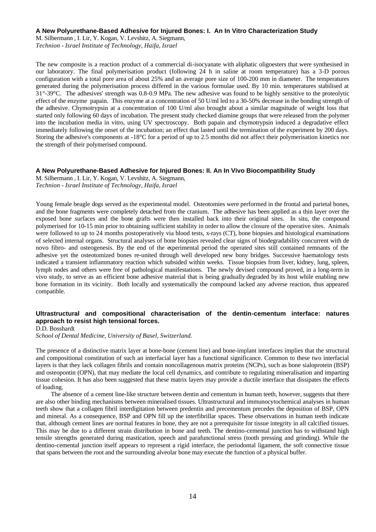### **A New Polyurethane-Based Adhesive for Injured Bones: I. An In Vitro Characterization Study**

M. Silbermann , I. Lir, Y. Kogan, V. Levshitz, A. Siegmann, *Technion - Israel Institute of Technology, Haifa, Israel*

The new composite is a reaction product of a commercial di-isocyanate with aliphatic oligoesters that were synthesised in our laboratory. The final polymerisation product (following 24 h in saline at room temperature) has a 3-D porous configuration with a total pore area of about 25% and an average pore size of 100-200 mm in diameter. The temperatures generated during the polymerisation process differed in the various formulae used. By 10 min. temperatures stabilised at 31°-39°C. The adhesives' strength was 0.8-0.9 MPa. The new adhesive was found to be highly sensitive to the proteolytic effect of the enzyme papain. This enzyme at a concentration of 50 U/ml led to a 30-50% decrease in the bonding strength of the adhesive. Chymotrypsin at a concentration of 100 U/ml also brought about a similar magnitude of weight loss that started only following 60 days of incubation. The present study checked diamine groups that were released from the polymer into the incubation media in vitro, using UV spectroscopy. Both papain and chymotrypsin induced a degradative effect immediately following the onset of the incubation; an effect that lasted until the termination of the experiment by 200 days. Storing the adhesive's components at -18°C for a period of up to 2.5 months did not affect their polymerisation kinetics nor the strength of their polymerised compound.

#### **A New Polyurethane-Based Adhesive for Injured Bones: II. An In Vivo Biocompatibility Study**

M. Silbermann , I. Lir, Y. Kogan, V. Levshitz, A. Siegmann, *Technion - Israel Institute of Technology, Haifa, Israel*

Young female beagle dogs served as the experimental model. Osteotomies were performed in the frontal and parietal bones, and the bone fragments were completely detached from the cranium. The adhesive has been applied as a thin layer over the exposed bone surfaces and the bone grafts were then installed back into their original sites. In situ, the compound polymerised for 10-15 min prior to obtaining sufficient stability in order to allow the closure of the operative sites. Animals were followed to up to 24 months postoperatively via blood tests, x-rays (CT), bone biopsies and histological examinations of selected internal organs. Structural analyses of bone biopsies revealed clear signs of biodegradability concurrent with de novo fibro- and osteogenesis. By the end of the experimental period the operated sites still contained remnants of the adhesive yet the osteotomized bones re-united through well developed new bony bridges. Successive haematology tests indicated a transient inflammatory reaction which subsided within weeks. Tissue biopsies from liver, kidney, lung, spleen, lymph nodes and others were free of pathological manifestations. The newly devised compound proved, in a long-term in vivo study, to serve as an efficient bone adhesive material that is being gradually degraded by its host while enabling new bone formation in its vicinity. Both locally and systematically the compound lacked any adverse reaction, thus appeared compatible.

## **Ultrastructural and compositional characterisation of the dentin-cementum interface: natures approach to resist high tensional forces.**

D.D. Bosshardt

*School of Dental Medicine, University of Basel, Switzerland.*

The presence of a distinctive matrix layer at bone-bone (cement line) and bone-implant interfaces implies that the structural and compositional constitution of such an interfacial layer has a functional significance. Common to these two interfacial layers is that they lack collagen fibrils and contain noncollagenous matrix proteins (NCPs), such as bone sialoprotein (BSP) and osteopontin (OPN), that may mediate the local cell dynamics, and contribute to regulating mineralisation and imparting tissue cohesion. It has also been suggested that these matrix layers may provide a ductile interface that dissipates the effects of loading.

The absence of a cement line-like structure between dentin and cementum in human teeth, however, suggests that there are also other binding mechanisms between mineralised tissues. Ultrastructural and immunocytochemical analyses in human teeth show that a collagen fibril interdigitation between predentin and precementum precedes the deposition of BSP, OPN and mineral. As a consequence, BSP and OPN fill up the interfibrillar spaces. These observations in human teeth indicate that, although cement lines are normal features in bone, they are not a prerequisite for tissue integrity in all calcified tissues. This may be due to a different strain distribution in bone and teeth. The dentino-cemental junction has to withstand high tensile strengths generated during mastication, speech and parafunctional stress (tooth pressing and grinding). While the dentino-cemental junction itself appears to represent a rigid interface, the periodontal ligament, the soft connective tissue that spans between the root and the surrounding alveolar bone may execute the function of a physical buffer.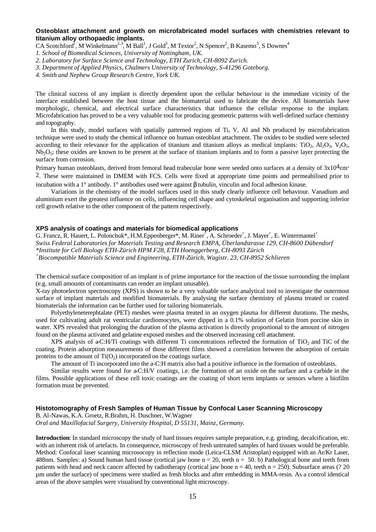## **Osteoblast attachment and growth on microfabricated model surfaces with chemistries relevant to titanium alloy orthopaedic implants.**

CA Scotchford<sup>1</sup>, M Winkelmann<sup>2,3</sup>, M Ball<sup>1</sup>, J Gold<sup>3</sup>, M Textor<sup>2</sup>, N Spencer<sup>2</sup>, B Kasemo<sup>3</sup>, S Downes<sup>4</sup>

- *1. School of Biomedical Sciences, University of Nottingham, UK.*
- *2. Laboratory for Surface Science and Technology, ETH Zurich, CH-8092 Zurich.*
- *3. Department of Applied Physics, Chalmers University of Technology, S-41296 Goteborg.*
- *4. Smith and Nephew Group Research Centre, York UK.*

The clinical success of any implant is directly dependent upon the cellular behaviour in the immediate vicinity of the interface established between the host tissue and the biomaterial used to fabricate the device. All biomaterials have morphologic, chemical, and electrical surface characteristics that influence the cellular response to the implant. Microfabrication has proved to be a very valuable tool for producing geometric patterns with well-defined surface chemistry and topography.

In this study, model surfaces with spatially patterned regions of Ti, V, Al and Nb produced by microfabrication technique were used to study the chemical influence on human osteoblast attachment. The oxides to be studied were selected according to their relevance for the application of titanium and titanium alloys as medical implants: TiO<sub>2</sub>, Al<sub>2</sub>O<sub>3</sub>, V<sub>2</sub>O<sub>5</sub>,  $Nb<sub>2</sub>O<sub>5</sub>$ ; these oxides are known to be present at the surface of titanium implants and to form a passive layer protecting the surface from corrosion.

Primary human osteoblasts, derived from femoral head trabecular bone were seeded onto surfaces at a density of  $3x104cm$ -2. These were maintained in DMEM with FCS. Cells were fixed at appropriate time points and permeabilised prior to incubation with a 1° antibody. 1° antibodies used were against β tubulin, vinculin and focal adhesion kinase.

Variations in the chemistry of the model surfaces used in this study clearly influence cell behaviour. Vanadium and aluminium exert the greatest influence on cells, influencing cell shape and cytoskeletal organisation and supporting inferior cell growth relative to the other component of the pattern respectively.

#### **XPS analysis of coatings and materials for biomedical applications**

G. Francz, R. Hauert, L. Polonchuk\*, H.M. Eppenberger\*, M. Riner<sup>+</sup>, A. Schroeder<sup>+</sup>, J. Mayer<sup>+</sup>, E. Wintermantel<sup>+</sup> *Swiss Federal Laboratories for Materials Testing and Research EMPA, Überlandstrasse 129, CH-8600 Dübendorf \*Institute for Cell Biology ETH-Zürich HPM F28, ETH Hoenggerberg, CH-8093 Zürich + Biocompatible Materials Science and Engineering, ETH-Zürich, Wagistr. 23, CH-8952 Schlieren*

The chemical surface composition of an implant is of prime importance for the reaction of the tissue surrounding the implant (e.g. small amounts of contaminants can render an implant unusable).

X-ray photoelectron spectroscopy (XPS) is shown to be a very valuable surface analytical tool to investigate the outermost surface of implant materials and modified biomaterials. By analysing the surface chemistry of plasma treated or coated biomaterials the information can be further used for tailoring biomaterials.

Polyethyleneterephtalate (PET) meshes were plasma treated in an oxygen plasma for different durations. The meshs, used for cultivating adult rat ventricular cardiomocytes, were dipped in a 0.1% solution of Gelatin from porcine skin in water. XPS revealed that prolonging the duration of the plasma activation is directly proportional to the amount of nitrogen found on the plasma activated and gelatine exposed meshes and the observed increasing cell attachment.

XPS analysis of a-C:H/Ti coatings with different Ti concentrations reflected the formation of TiO<sub>2</sub> and TiC of the coating. Protein adsorption measurements of those different films showed a correlation between the adsorption of certain proteins to the amount of  $Ti(O<sub>2</sub>)$  incorporated on the coatings surface.

The amount of Ti incorporated into the a-C:H matrix also had a positive influence in the formation of osteoblasts.

Similar results were found for a-C:H/V coatings, i.e. the formation of an oxide on the surface and a carbide in the films. Possible applications of these cell toxic coatings are the coating of short term implants or sensors where a biofilm formation must be prevented.

## **Histotomography of Fresh Samples of Human Tissue by Confocal Laser Scanning Microscopy**

B. Al-Nawas, K.A. Groetz, R.Brahm, H. Duschner, W.Wagner

*Oral and Maxillofacial Surgery, University Hospital, D 55131, Mainz, Germany.*

**Introduction**: In standard microscopy the study of hard tissues requires sample preparation, e.g. grinding, decalcification, etc. with an inherent risk of artefacts. In consequence, microscopy of fresh untreated samples of hard tissues would be preferable. Method: Confocal laser scanning microsocopy in reflection mode (Leica-CLSM Aristoplan) equipped with an Ar/Kr Laser, 488nm. Samples: a) Sound human hard tissue (cortical jaw bone  $n = 20$ , teeth  $n = 50$ . b) Pathological bone and teeth from patients with head and neck cancer affected by radiotherapy (cortical jaw bone  $n = 40$ , teeth  $n = 250$ ). Subsurface areas (? 20) µm under the surface) of specimens were studied as fresh blocks and after embedding in MMA-resin. As a control identical areas of the above samples were visualised by conventional light microscopy.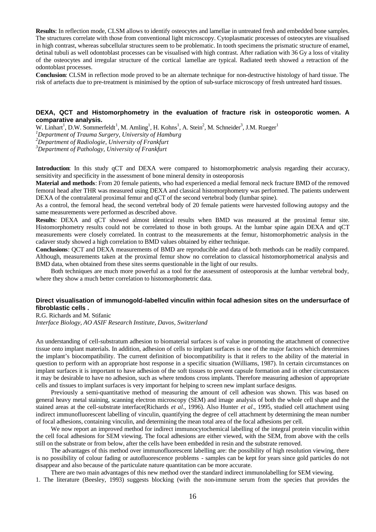**Results**: In reflection mode, CLSM allows to identify osteocytes and lamellae in untreated fresh and embedded bone samples. The structures correlate with those from conventional light microscopy. Cytoplasmatic processes of osteocytes are visualised in high contrast, whereas subcellular structures seem to be problematic. In tooth specimens the prismatic structure of enamel, detinal tubuli as well odontoblast processes can be visualised with high contrast. After radiation with 36 Gy a loss of vitality of the osteocytes and irregular structure of the cortical lamellae are typical. Radiated teeth showed a retraction of the odontoblast processes.

**Conclusion**: CLSM in reflection mode proved to be an alternate technique for non-destructive histology of hard tissue. The risk of artefacts due to pre-treatment is minimised by the option of sub-surface microscopy of fresh untreated hard tissues.

## **DEXA, QCT and Histomorphometry in the evaluation of fracture risk in osteoporotic women. A comparative analysis.**

W. Linhart<sup>1</sup>, D.W. Sommerfeldt<sup>1</sup>, M. Amling<sup>1</sup>, H. Kohns<sup>1</sup>, A. Stein<sup>2</sup>, M. Schneider<sup>3</sup>, J.M. Rueger<sup>1</sup>

*<sup>1</sup>Department of Trauma Surgery, University of Hamburg*

*<sup>2</sup>Department of Radiologie, University of Frankfurt*

*<sup>3</sup>Department of Pathology, University of Frankfurt*

**Introduction**: In this study qCT and DEXA were compared to histomorphometric analysis regarding their accuracy, sensitivity and specificity in the assessment of bone mineral density in osteoporosis

**Material and methods**: From 20 female patients, who had experienced a medial femoral neck fracture BMD of the removed femoral head after THR was measured using DEXA and classical histomorphometry was performed. The patients underwent DEXA of the contralateral proximal femur and qCT of the second vertebral body (lumbar spine).

As a control, the femoral head, the second vertebral body of 20 female patients were harvested following autopsy and the same measurements were performed as described above.

**Results**: DEXA and qCT showed almost identical results when BMD was measured at the proximal femur site. Histomorphometry results could not be correlated to those in both groups. At the lumbar spine again DEXA and qCT measurements were closely correlated. In contrast to the measurements at the femur, histomorphometric analysis in the cadaver study showed a high correlation to BMD values obtained by either technique.

**Conclusions**: QCT and DEXA measurements of BMD are reproducible and data of both methods can be readily compared. Although, measurements taken at the proximal femur show no correlation to classical histomorphometrical analysis and BMD data, when obtained from these sites seems questionable in the light of our results.

Both techniques are much more powerful as a tool for the assessment of osteoporosis at the lumbar vertebral body, where they show a much better correlation to histomorphometric data.

## **Direct visualisation of immunogold-labelled vinculin within focal adhesion sites on the undersurface of fibroblastic cells .**

R.G. Richards and M. Stifanic

*Interface Biology, AO ASIF Research Institute, Davos, Switzerland*

An understanding of cell-substratum adhesion to biomaterial surfaces is of value in promoting the attachment of connective tissue onto implant materials. In addition, adhesion of cells to implant surfaces is one of the major factors which determines the implant's biocompatibility. The current definition of biocompatibility is that it refers to the ability of the material in question to perform with an appropriate host response in a specific situation (Williams, 1987). In certain circumstances on implant surfaces it is important to have adhesion of the soft tissues to prevent capsule formation and in other circumstances it may be desirable to have no adhesion, such as where tendons cross implants. Therefore measuring adhesion of appropriate cells and tissues to implant surfaces is very important for helping to screen new implant surface designs.

Previously a semi-quantitative method of measuring the amount of cell adhesion was shown. This was based on general heavy metal staining, scanning electron microscopy (SEM) and image analysis of both the whole cell shape and the stained areas at the cell-substrate interface(Richards *et al*., 1996). Also Hunter *et al*., 1995, studied cell attachment using indirect immunofluorescent labelling of vinculin, quantifying the degree of cell attachment by determining the mean number of focal adhesions, containing vinculin, and determining the mean total area of the focal adhesions per cell.

We now report an improved method for indirect immunocytochemical labelling of the integral protein vinculin within the cell focal adhesions for SEM viewing. The focal adhesions are either viewed, with the SEM, from above with the cells still on the substrate or from below, after the cells have been embedded in resin and the substrate removed.

The advantages of this method over immunofluorescent labelling are: the possibility of high resolution viewing, there is no possibility of colour fading or autofluorescence problems - samples can be kept for years since gold particles do not disappear and also because of the particulate nature quantitation can be more accurate.

There are two main advantages of this new method over the standard indirect immunolabelling for SEM viewing.

1. The literature (Beesley, 1993) suggests blocking (with the non-immune serum from the species that provides the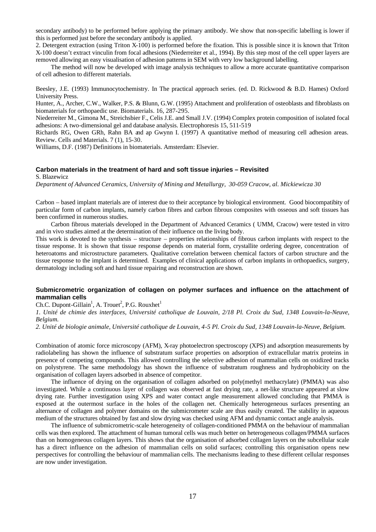secondary antibody) to be performed before applying the primary antibody. We show that non-specific labelling is lower if this is performed just before the secondary antibody is applied.

2. Detergent extraction (using Triton X-100) is performed before the fixation. This is possible since it is known that Triton X-100 doesn't extract vinculin from focal adhesions (Niederreiter et al., 1994). By this step most of the cell upper layers are removed allowing an easy visualisation of adhesion patterns in SEM with very low background labelling.

The method will now be developed with image analysis techniques to allow a more accurate quantitative comparison of cell adhesion to different materials.

Beesley, J.E. (1993) Immunocytochemistry. In The practical approach series. (ed. D. Rickwood & B.D. Hames) Oxford University Press.

Hunter, A., Archer, C.W., Walker, P.S. & Blunn, G.W. (1995) Attachment and proliferation of osteoblasts and fibroblasts on biomaterials for orthopaedic use. Biomaterials. 16, 287-295.

Niederreiter M., Gimona M., Streichsbier F., Celis J.E. and Small J.V. (1994) Complex protein composition of isolated focal adhesions: A two-dimensional gel and database analysis. Electrophoresis 15, 511-519

Richards RG, Owen GRh, Rahn BA and ap Gwynn I. (1997) A quantitative method of measuring cell adhesion areas. Review. Cells and Materials. 7 (1), 15-30.

Williams, D.F. (1987) Definitions in biomaterials. Amsterdam: Elsevier.

#### **Carbon materials in the treatment of hard and soft tissue injuries – Revisited**

S. Blazewicz

*Department of Advanced Ceramics, University of Mining and Metallurgy, 30-059 Cracow, al. Mickiewicza 30*

Carbon – based implant materials are of interest due to their acceptance by biological environment. Good biocompatibity of particular form of carbon implants, namely carbon fibres and carbon fibrous composites with osseous and soft tissues has been confirmed in numerous studies.

Carbon fibrous materials developed in the Department of Advanced Ceramics ( UMM, Cracow) were tested in vitro and in vivo studies aimed at the determination of their influence on the living body.

This work is devoted to the synthesis – structure – properties relationships of fibrous carbon implants with respect to the tissue response. It is shown that tissue response depends on material form, crystallite ordering degree, concentration of heteroatoms and microstructure parameters. Qualitative correlation between chemical factors of carbon structure and the tissue response to the implant is determined. Examples of clinical applications of carbon implants in orthopaedics, surgery, dermatology including soft and hard tissue repairing and reconstruction are shown.

## **Submicrometric organization of collagen on polymer surfaces and influence on the attachment of mammalian cells**

 $Ch.C.$  Dupont-Gillain<sup>1</sup>, A. Trouet<sup>2</sup>, P.G. Rouxhet<sup>1</sup>

*1. Unité de chimie des interfaces, Université catholique de Louvain, 2/18 Pl. Croix du Sud, 1348 Louvain-la-Neuve, Belgium.*

*2. Unité de biologie animale, Université catholique de Louvain, 4-5 Pl. Croix du Sud, 1348 Louvain-la-Neuve, Belgium.*

Combination of atomic force microscopy (AFM), X-ray photoelectron spectroscopy (XPS) and adsorption measurements by radiolabeling has shown the influence of substratum surface properties on adsorption of extracellular matrix proteins in presence of competing compounds. This allowed controlling the selective adhesion of mammalian cells on oxidized tracks on polystyrene. The same methodology has shown the influence of substratum roughness and hydrophobicity on the organisation of collagen layers adsorbed in absence of competitor.

The influence of drying on the organisation of collagen adsorbed on poly(methyl methacrylate) (PMMA) was also investigated. While a continuous layer of collagen was observed at fast drying rate, a net-like structure appeared at slow drying rate. Further investigation using XPS and water contact angle measurement allowed concluding that PMMA is exposed at the outermost surface in the holes of the collagen net. Chemically heterogeneous surfaces presenting an alternance of collagen and polymer domains on the submicrometer scale are thus easily created. The stability in aqueous medium of the structures obtained by fast and slow drying was checked using AFM and dynamic contact angle analysis.

The influence of submicrometric-scale heterogeneity of collagen-conditioned PMMA on the behaviour of mammalian cells was then explored. The attachment of human tumoral cells was much better on heterogeneous collagen/PMMA surfaces than on homogeneous collagen layers. This shows that the organisation of adsorbed collagen layers on the subcellular scale has a direct influence on the adhesion of mammalian cells on solid surfaces; controlling this organisation opens new perspectives for controlling the behaviour of mammalian cells. The mechanisms leading to these different cellular responses are now under investigation.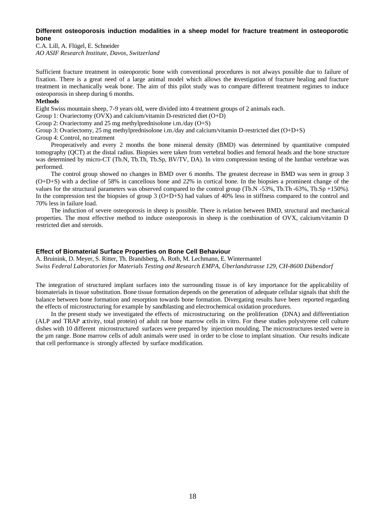## **Different osteoporosis induction modalities in a sheep model for fracture treatment in osteoporotic bone**

C.A. Lill, A. Flügel, E. Schneider *AO ASIF Research Institute, Davos, Switzerland*

Sufficient fracture treatment in osteoporotic bone with conventional procedures is not always possible due to failure of fixation. There is a great need of a large animal model which allows the investigation of fracture healing and fracture treatment in mechanically weak bone. The aim of this pilot study was to compare different treatment regimes to induce osteoporosis in sheep during 6 months.

## **Methods**

Eight Swiss mountain sheep, 7-9 years old, were divided into 4 treatment groups of 2 animals each.

Group 1: Ovariectomy (OVX) and calcium/vitamin D-restricted diet  $(O+D)$ 

Group 2: Ovariectomy and 25 mg methylprednisolone i.m./day (O+S)

Group 3: Ovariectomy, 25 mg methylprednisolone i.m./day and calcium/vitamin D-restricted diet (O+D+S)

Group 4: Control, no treatment

Preoperatively and every 2 months the bone mineral density (BMD) was determined by quantitative computed tomography (QCT) at the distal radius. Biopsies were taken from vertebral bodies and femoral heads and the bone structure was determined by micro-CT (Tb.N, Tb.Th, Tb.Sp, BV/TV, DA). In vitro compression testing of the lumbar vertebrae was performed.

The control group showed no changes in BMD over 6 months. The greatest decrease in BMD was seen in group 3 (O+D+S) with a decline of 58% in cancellous bone and 22% in cortical bone. In the biopsies a prominent change of the values for the structural parameters was observed compared to the control group (Tb.N -53%, Tb.Th -63%, Tb.Sp +150%). In the compression test the biopsies of group 3  $(O+D+S)$  had values of 40% less in stiffness compared to the control and 70% less in failure load.

The induction of severe osteoporosis in sheep is possible. There is relation between BMD, structural and mechanical properties. The most effective method to induce osteoporosis in sheep is the combination of OVX, calcium/vitamin D restricted diet and steroids.

## **Effect of Biomaterial Surface Properties on Bone Cell Behaviour**

A. Bruinink, D. Meyer, S. Ritter, Th. Brandsberg, A. Roth, M. Lechmann, E. Wintermantel *Swiss Federal Laboratories for Materials Testing and Research EMPA, Überlandstrasse 129, CH-8600 Dübendorf* 

The integration of structured implant surfaces into the surrounding tissue is of key importance for the applicability of biomaterials in tissue substitution. Bone tissue formation depends on the generation of adequate cellular signals that shift the balance between bone formation and resorption towards bone formation. Divergating results have been reported regarding the effects of microstructuring for example by sandblasting and electrochemical oxidation procedures.

In the present study we investigated the effects of microstructuring on the proliferation (DNA) and differentiation (ALP and TRAP activity, total protein) of adult rat bone marrow cells in vitro. For these studies polystyrene cell culture dishes with 10 different microstructured surfaces were prepared by injection moulding. The microstructures tested were in the um range. Bone marrow cells of adult animals were used in order to be close to implant situation. Our results indicate that cell performance is strongly affected by surface modification.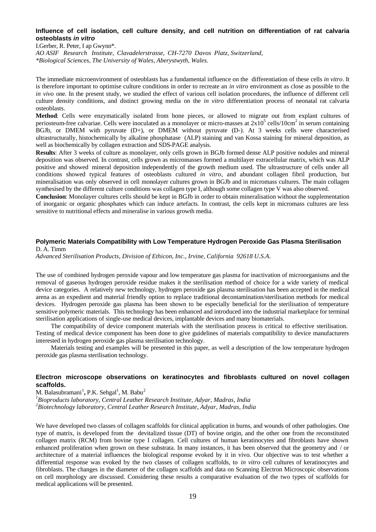## **Influence of cell isolation, cell culture density, and cell nutrition on differentiation of rat calvaria osteoblasts** *in vitro*

I.Gerber, R. Peter, I ap Gwynn\*. *AO ASIF Research Institute, Clavadelerstrasse, CH-7270 Davos Platz, Switzerland, \*Biological Sciences, The University of Wales, Aberystwyth, Wales.*

The immediate microenvironment of osteoblasts has a fundamental influence on the differentiation of these cells *in vitro*. It is therefore important to optimise culture conditions in order to recreate an *in vitro* environment as close as possible to the *in vivo* one. In the present study, we studied the effect of various cell isolation procedures, the influence of different cell culture density conditions, and distinct growing media on the *in vitro* differentiation process of neonatal rat calvaria osteoblasts.

**Method**: Cells were enzymatically isolated from bone pieces, or allowed to migrate out from explant cultures of periosteum-free calvariae. Cells were inoculated as a monolayer or micro-masses at  $2x10^5$  cells/10cm<sup>2</sup> in serum containing BGJb, or DMEM with pyruvate (D+), or DMEM without pyruvate (D-). At 3 weeks cells were characterised ultrastructurally, histochemically by alkaline phosphatase (ALP) staining and van Kossa staining for mineral deposition, as well as biochemically by collagen extraction and SDS-PAGE analysis.

**Results**: After 3 weeks of culture as monolayer, only cells grown in BGJb formed dense ALP positive nodules and mineral deposition was observed. In contrast, cells grown as micromasses formed a multilayer extracellular matrix, which was ALP positive and showed mineral deposition independently of the growth medium used. The ultrastructure of cells under all conditions showed typical features of osteoblasts cultured *in vitro*, and abundant collagen fibril production, but mineralisation was only observed in cell monolayer cultures grown in BGJb and in micromass cultures. The main collagen synthesised by the different culture conditions was collagen type I, although some collagen type V was also observed.

**Conclusion**: Monolayer cultures cells should be kept in BGJb in order to obtain mineralisation without the supplementation of inorganic or organic phosphates which can induce artefacts. In contrast, the cells kept in micromass cultures are less sensitive to nutritional effects and mineralise in various growth media.

## **Polymeric Materials Compatibility with Low Temperature Hydrogen Peroxide Gas Plasma Sterilisation**

D. A. Timm

*Advanced Sterilisation Products, Division of Ethicon, Inc., Irvine, California 92618 U.S.A.*

The use of combined hydrogen peroxide vapour and low temperature gas plasma for inactivation of microorganisms and the removal of gaseous hydrogen peroxide residue makes it the sterilisation method of choice for a wide variety of medical device categories. A relatively new technology, hydrogen peroxide gas plasma sterilisation has been accepted in the medical arena as an expedient and material friendly option to replace traditional decontamination/sterilisation methods for medical devices. Hydrogen peroxide gas plasma has been shown to be especially beneficial for the sterilisation of temperature sensitive polymeric materials. This technology has been enhanced and introduced into the industrial marketplace for terminal sterilisation applications of single-use medical devices, implantable devices and many biomaterials.

The compatibility of device component materials with the sterilisation process is critical to effective sterilisation. Testing of medical device component has been done to give guidelines of materials compatibility to device manufacturers interested in hydrogen peroxide gas plasma sterilisation technology.

Materials testing and examples will be presented in this paper, as well a description of the low temperature hydrogen peroxide gas plasma sterilisation technology.

## **Electron microscope observations on keratinocytes and fibroblasts cultured on novel collagen scaffolds.**

M. Balasubramani<sup>1</sup>, P.K. Sehgal<sup>1</sup>, M. Babu<sup>2</sup>

*1 Bioproducts laboratory, Central Leather Research Institute, Adyar, Madras, India* 

*2 Biotechnology laboratory, Central Leather Research Institute, Adyar, Madras, India*

We have developed two classes of collagen scaffolds for clinical application in burns, and wounds of other pathologies. One type of matrix, is developed from the devitalized tissue (DT) of bovine origin, and the other one from the reconstituted collagen matrix (RCM) from bovine type I collagen. Cell cultures of human keratinocytes and fibroblasts have shown enhanced proliferation when grown on these substrata. In many instances, it has been observed that the geometry and / or architecture of a material influences the biological response evoked by it in vivo. Our objective was to test whether a differential response was evoked by the two classes of collagen scaffolds, to *in vitro* cell cultures of keratinocytes and fibroblasts. The changes in the diameter of the collagen scaffolds and data on Scanning Electron Microscopic observations on cell morphology are discussed. Considering these results a comparative evaluation of the two types of scaffolds for medical applications will be presented.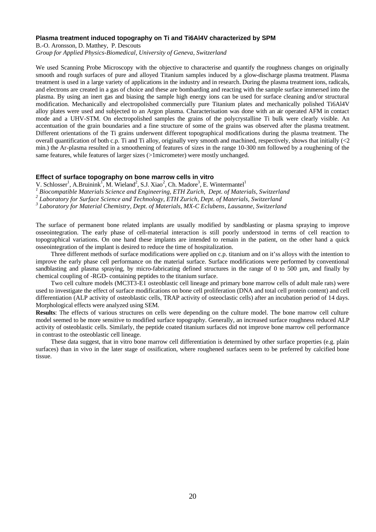## **Plasma treatment induced topography on Ti and Ti6Al4V characterized by SPM**

B.-O. Aronsson, D. Matthey, P. Descouts

*Group for Applied Physics-Biomedical, University of Geneva, Switzerland*

We used Scanning Probe Microscopy with the objective to characterise and quantify the roughness changes on originally smooth and rough surfaces of pure and alloyed Titanium samples induced by a glow-discharge plasma treatment. Plasma treatment is used in a large variety of applications in the industry and in research. During the plasma treatment ions, radicals, and electrons are created in a gas of choice and these are bombarding and reacting with the sample surface immersed into the plasma. By using an inert gas and biasing the sample high energy ions can be used for surface cleaning and/or structural modification. Mechanically and electropolished commercially pure Titanium plates and mechanically polished Ti6Al4V alloy plates were used and subjected to an Argon plasma. Characterisation was done with an air operated AFM in contact mode and a UHV-STM. On electropolished samples the grains of the polycrystalline Ti bulk were clearly visible. An accentuation of the grain boundaries and a fine structure of some of the grains was observed after the plasma treatment. Different orientations of the Ti grains underwent different topographical modifications during the plasma treatment. The overall quantification of both c.p. Ti and Ti alloy, originally very smooth and machined, respectively, shows that initially (<2 min.) the Ar-plasma resulted in a smoothening of features of sizes in the range 10-300 nm followed by a roughening of the same features, while features of larger sizes (>1micrometer) were mostly unchanged.

## **Effect of surface topography on bone marrow cells in vitro**

V. Schlosser<sup>1</sup>, A.Bruinink<sup>1</sup>, M. Wieland<sup>2</sup>, S.J. Xiao<sup>2</sup>, Ch. Madore<sup>3</sup>, E. Wintermantel<sup>1</sup>

<sup>1</sup> Biocompatible Materials Science and Engineering, ETH Zurich, Dept. of Materials, Switzerland

<sup>2</sup> Laboratory for Surface Science and Technology, ETH Zurich, Dept. of Materials, Switzerland

*3 Laboratory for Material Chemistry, Dept. of Materials, MX-C Eclubens, Lausanne, Switzerland*

The surface of permanent bone related implants are usually modified by sandblasting or plasma spraying to improve osseointegration. The early phase of cell-material interaction is still poorly understood in terms of cell reaction to topographical variations. On one hand these implants are intended to remain in the patient, on the other hand a quick osseointegration of the implant is desired to reduce the time of hospitalization.

Three different methods of surface modifications were applied on c.p. titanium and on it'ss alloys with the intention to improve the early phase cell performance on the material surface. Surface modifications were performed by conventional sandblasting and plasma spraying, by micro-fabricating defined structures in the range of 0 to 500 µm, and finally by chemical coupling of -RGD- containing peptides to the titanium surface.

Two cell culture models (MC3T3-E1 osteoblastic cell lineage and primary bone marrow cells of adult male rats) were used to investigate the effect of surface modifications on bone cell proliferation (DNA and total cell protein content) and cell differentiation (ALP activity of osteoblastic cells, TRAP activity of osteoclastic cells) after an incubation period of 14 days. Morphological effects were analyzed using SEM.

**Results**: The effects of various structures on cells were depending on the culture model. The bone marrow cell culture model seemed to be more sensitive to modified surface topography. Generally, an increased surface roughness reduced ALP activity of osteoblastic cells. Similarly, the peptide coated titanium surfaces did not improve bone marrow cell performance in contrast to the osteoblastic cell lineage.

These data suggest, that in vitro bone marrow cell differentiation is determined by other surface properties (e.g. plain surfaces) than in vivo in the later stage of ossification, where roughened surfaces seem to be preferred by calcified bone tissue.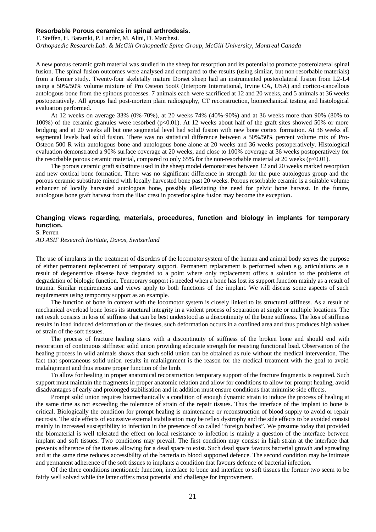#### **Resorbable Porous ceramics in spinal arthrodesis.**

T. Steffen, H. Baramki, P. Lander, M. Alini, D. Marchesi. *Orthopaedic Research Lab. & McGill Orthopaedic Spine Group, McGill University, Montreal Canada* 

A new porous ceramic graft material was studied in the sheep for resorption and its potential to promote posterolateral spinal fusion. The spinal fusion outcomes were analysed and compared to the results (using similar, but non-resorbable materials) from a former study. Twenty-four skeletally mature Dorset sheep had an instrumented posterolateral fusion from L2-L4 using a 50%/50% volume mixture of Pro Osteon 5ooR (Interpore International, Irvine CA, USA) and cortico-cancellous autologous bone from the spinous processes. 7 animals each were sacrificed at 12 and 20 weeks, and 5 animals at 36 weeks postoperatively. All groups had post-mortem plain radiography, CT reconstruction, biomechanical testing and histological evaluation performed.

At 12 weeks on average 33% (0%-70%), at 20 weeks 74% (40%-90%) and at 36 weeks more than 90% (80% to 100%) of the ceramic granules were resorbed (p<0.01). At 12 weeks about half of the graft sites showed 50% or more bridging and at 20 weeks all but one segmental level had solid fusion with new bone cortex formation. At 36 weeks all segmental levels had solid fusion. There was no statistical difference between a 50%/50% percent volume mix of Pro-Osteon 500 R with autologous bone and autologous bone alone at 20 weeks and 36 weeks postoperatively. Histological evaluation demonstrated a 90% surface coverage at 20 weeks, and close to 100% coverage at 36 weeks postoperatively for the resorbable porous ceramic material, compared to only 65% for the non-resorbable material at 20 weeks (p<0.01).

The porous ceramic graft substitute used in the sheep model demonstrates between 12 and 20 weeks marked resorption and new cortical bone formation. There was no significant difference in strength for the pure autologous group and the porous ceramic substitute mixed with locally harvested bone past 20 weeks. Porous resorbable ceramic is a suitable volume enhancer of locally harvested autologous bone, possibly alleviating the need for pelvic bone harvest. In the future, autologous bone graft harvest from the iliac crest in posterior spine fusion may become the exception.

## **Changing views regarding, materials, procedures, function and biology in implants for temporary function.**

S. Perren

*AO ASIF Research Institute, Davos, Switzerland*

The use of implants in the treatment of disorders of the locomotor system of the human and animal body serves the purpose of either permanent replacement of temporary support. Permanent replacement is performed when e.g. articulations as a result of degenerative disease have degraded to a point where only replacement offers a solution to the problems of degradation of biologic function. Temporary support is needed when a bone has lost its support function mainly as a result of trauma. Similar requirements and views apply to both functions of the implant. We will discuss some aspects of such requirements using temporary support as an example.

The function of bone in context with the locomotor system is closely linked to its structural stiffness. As a result of mechanical overload bone loses its structural integrity in a violent process of separation at single or multiple locations. The net result consists in loss of stiffness that can be best understood as a discontinuity of the bone stiffness. The loss of stiffness results in load induced deformation of the tissues, such deformation occurs in a confined area and thus produces high values of strain of the soft tissues.

The process of fracture healing starts with a discontinuity of stiffness of the broken bone and should end with restoration of continuous stiffness: solid union providing adequate strength for resisting functional load. Observation of the healing process in wild animals shows that such solid union can be obtained as rule without the medical intervention. The fact that spontaneous solid union results in malalignment is the reason for the medical treatment with the goal to avoid malalignment and thus ensure proper function of the limb.

To allow for healing in proper anatomical reconstruction temporary support of the fracture fragments is required. Such support must maintain the fragments in proper anatomic relation and allow for conditions to allow for prompt healing, avoid disadvantages of early and prolonged stabilisation and in addition must ensure conditions that minimise side effects.

Prompt solid union requires biomechanically a condition of enough dynamic strain to induce the process of healing at the same time as not exceeding the tolerance of strain of the repair tissues. Thus the interface of the implant to bone is critical. Biologically the condition for prompt healing is maintenance or reconstruction of blood supply to avoid or repair necrosis. The side effects of excessive external stabilisation may be reflex dystrophy and the side effects to be avoided consist mainly in increased susceptibility to infection in the presence of so called "foreign bodies". We presume today that provided the biomaterial is well tolerated the effect on local resistance to infection is mainly a question of the interface between implant and soft tissues. Two conditions may prevail. The first condition may consist in high strain at the interface that prevents adherence of the tissues allowing for a dead space to exist. Such dead space favours bacterial growth and spreading and at the same time reduces accessibility of the bacteria to blood supported defence. The second condition may be intimate and permanent adherence of the soft tissues to implants a condition that favours defence of bacterial infection.

Of the three conditions mentioned: function, interface to bone and interface to soft tissues the former two seem to be fairly well solved while the latter offers most potential and challenge for improvement.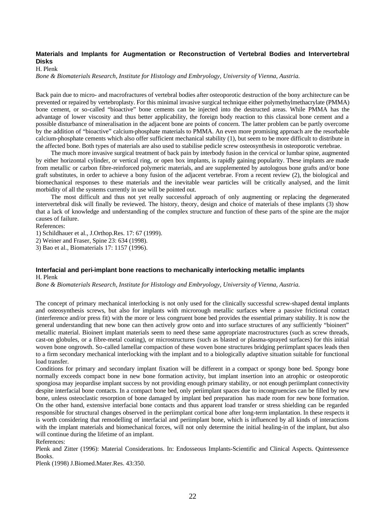## **Materials and Implants for Augmentation or Reconstruction of Vertebral Bodies and Intervertebral Disks**

H. Plenk

*Bone & Biomaterials Research, Institute for Histology and Embryology, University of Vienna, Austria.*

Back pain due to micro- and macrofractures of vertebral bodies after osteoporotic destruction of the bony architecture can be prevented or repaired by vertebroplasty. For this minimal invasive surgical technique either polymethylmethacrylate (PMMA) bone cement, or so-called "bioactive" bone cements can be injected into the destructed areas. While PMMA has the advantage of lower viscosity and thus better applicability, the foreign body reaction to this classical bone cement and a possible disturbance of mineralisation in the adjacent bone are points of concern. The latter problem can be partly overcome by the addition of "bioactive" calcium-phosphate materials to PMMA. An even more promising approach are the resorbable calcium-phosphate cements which also offer sufficient mechanical stability (1), but seem to be more difficult to distribute in the affected bone. Both types of materials are also used to stabilise pedicle screw osteosynthesis in osteoporotic vertebrae.

The much more invasive surgical treatment of back pain by interbody fusion in the cervical or lumbar spine, augmented by either horizontal cylinder, or vertical ring, or open box implants, is rapidly gaining popularity. These implants are made from metallic or carbon fibre-reinforced polymeric materials, and are supplemented by autologous bone grafts and/or bone graft substitutes, in order to achieve a bony fusion of the adjacent vertebrae. From a recent review (2), the biological and biomechanical responses to these materials and the inevitable wear particles will be critically analysed, and the limit morbidity of all the systems currently in use will be pointed out.

The most difficult and thus not yet really successful approach of only augmenting or replacing the degenerated intervertebral disk will finally be reviewed. The history, theory, design and choice of materials of these implants (3) show that a lack of knowledge and understanding of the complex structure and function of these parts of the spine are the major causes of failure.

References:

1) Schildhauer et al., J.Orthop.Res. 17: 67 (1999).

2) Weiner and Fraser, Spine 23: 634 (1998).

3) Bao et al., Biomaterials 17: 1157 (1996).

## **Interfacial and peri-implant bone reactions to mechanically interlocking metallic implants** H. Plenk

*Bone & Biomaterials Research, Institute for Histology and Embryology, University of Vienna, Austria.*

The concept of primary mechanical interlocking is not only used for the clinically successful screw-shaped dental implants and osteosynthesis screws, but also for implants with microrough metallic surfaces where a passive frictional contact (interference and/or press fit) with the more or less congruent bone bed provides the essential primary stability. It is now the general understanding that new bone can then actively grow onto and into surface structures of any sufficiently "bioinert" metallic material. Bioinert implant materials seem to need these same appropriate macrostructures (such as screw threads, cast-on globules, or a fibre-metal coating), or microstructures (such as blasted or plasma-sprayed surfaces) for this initial woven bone ongrowth. So-called lamellar compaction of these woven bone structures bridging periimplant spaces leads then to a firm secondary mechanical interlocking with the implant and to a biologically adaptive situation suitable for functional load transfer.

Conditions for primary and secondary implant fixation will be different in a compact or spongy bone bed. Spongy bone normally exceeds compact bone in new bone formation activity, but implant insertion into an atrophic or osteoporotic spongiosa may jeopardise implant success by not providing enough primary stability, or not enough periimplant connectivity despite interfacial bone contacts. In a compact bone bed, only periimplant spaces due to incongruencies can be filled by new bone, unless osteoclastic resorption of bone damaged by implant bed preparation has made room for new bone formation. On the other hand, extensive interfacial bone contacts and thus apparent load transfer or stress shielding can be regarded responsible for structural changes observed in the periimplant cortical bone after long-term implantation. In these respects it is worth considering that remodelling of interfacial and periimplant bone, which is influenced by all kinds of interactions with the implant materials and biomechanical forces, will not only determine the initial healing-in of the implant, but also will continue during the lifetime of an implant.

References:

Plenk and Zitter (1996): Material Considerations. In: Endosseous Implants-Scientific and Clinical Aspects. Quintessence Books.

Plenk (1998) J.Biomed.Mater.Res. 43:350.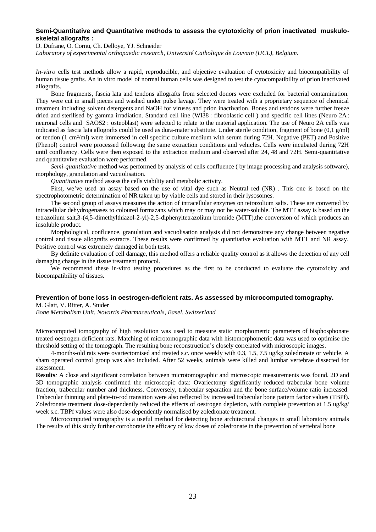## **Semi-Quantitative and Quantitative methods to assess the cytotoxicity of prion inactivated muskuloskeletal allografts :**

D. Dufrane, O. Cornu, Ch. Delloye, YJ. Schneider

*Laboratory of experimental orthopaedic research, Université Catholique de Louvain (UCL), Belgium.*

*In-vitro* cells test methods allow a rapid, reproducible, and objective evaluation of cytotoxicity and biocompatibility of human tissue grafts. An in vitro model of normal human cells was designed to test the cytocompatibility of prion inactivated allografts.

Bone fragments, fascia lata and tendons allografts from selected donors were excluded for bacterial contamination. They were cut in small pieces and washed under pulse lavage. They were treated with a proprietary sequence of chemical treatment including solvent detergents and NaOH for viruses and prion inactivation. Bones and tendons were further freeze dried and sterilised by gamma irradiation. Standard cell line (WI38 : fibroblastic cell ) and specific cell lines (Neuro 2A: neuronal cells and SAOS2 : osteoblast) were selected to relate to the material application. The use of Neuro 2A cells was indicated as fascia lata allografts could be used as dura-mater substitute. Under sterile condition, fragment of bone  $(0,1 \text{ g/ml})$ or tendon (1 cm²/ml) were immersed in cell specific culture medium with serum during 72H. Negative (PET) and Positive (Phenol) control were processed following the same extraction conditions and vehicles. Cells were incubated during 72H until confluency. Cells were then exposed to the extraction medium and observed after 24, 48 and 72H. Semi-quantitative and quantitavive evaluation were performed.

*Semi-quantitative* method was performed by analysis of cells confluence ( by image processing and analysis software), morphology, granulation and vacuolisation.

*Quantitative* method assess the cells viability and metabolic activity.

First, we've used an assay based on the use of vital dye such as Neutral red (NR) . This one is based on the spectrophotometric determination of NR taken up by viable cells and stored in their lysosomes.

The second group of assays measures the action of intracellular enzymes on tetrazolium salts. These are converted by intracellular dehydrogenases to coloured formazans which may or may not be water-soluble. The MTT assay is based on the tetrazolium salt,3-(4,5-dimethylthiazol-2-yl)-2,5-diphenyltetrazolium bromide (MTT),the conversion of which produces an insoluble product.

Morphological, confluence, granulation and vacuolisation analysis did not demonstrate any change between negative control and tissue allografts extracts. These results were confirmed by quantitative evaluation with MTT and NR assay. Positive control was extremely damaged in both tests.

By definite evaluation of cell damage, this method offers a reliable quality control as it allows the detection of any cell damaging change in the tissue treatment protocol.

We recommend these in-vitro testing procedures as the first to be conducted to evaluate the cytotoxicity and biocompatibility of tissues.

#### **Prevention of bone loss in oestrogen-deficient rats. As assessed by microcomputed tomography.**

M. Glatt, V. Ritter, A. Studer

*Bone Metabolism Unit, Novartis Pharmaceuticals, Basel, Switzerland*

Microcomputed tomography of high resolution was used to measure static morphometric parameters of bisphosphonate treated oestrogen-deficient rats. Matching of microtomographic data with histomorphometric data was used to optimise the threshold setting of the tomograph. The resulting bone reconstruction's closely correlated with microscopic images.

4-months-old rats were ovariectomised and treated s.c. once weekly with 0.3, 1.5, 7.5 ug/kg zoledronate or vehicle. A sham operated control group was also included. After 52 weeks, animals were killed and lumbar vertebrae dissected for assessment.

**Results***:* A close and significant correlation between microtomographic and microscopic measurements was found. 2D and 3D tomographic analysis confirmed the microscopic data: Ovariectomy significantly reduced trabecular bone volume fraction, trabecular number and thickness. Conversely, trabecular separation and the bone surface/volume ratio increased. Trabecular thinning and plate-to-rod transition were also reflected by increased trabecular bone pattern factor values (TBPf). Zoledronate treatment dose-dependently reduced the effects of oestrogen depletion, with complete prevention at 1.5 ug/kg/ week s.c. TBPf values were also dose-dependently normalised by zoledronate treatment.

Microcomputed tomography is a useful method for detecting bone architectural changes in small laboratory animals The results of this study further corroborate the efficacy of low doses of zoledronate in the prevention of vertebral bone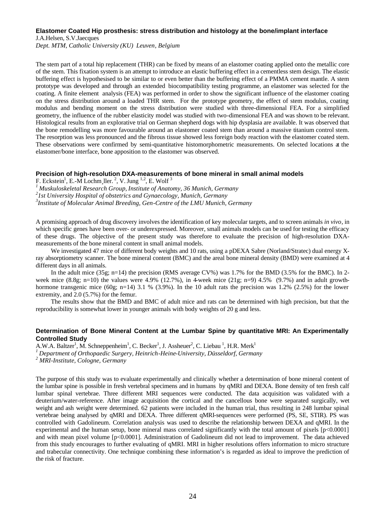#### **Elastomer Coated Hip prosthesis: stress distribution and histology at the bone/implant interface**

J.A.Helsen, S.V.Jaecques *Dept. MTM, Catholic University (KU) Leuven, Belgium*

The stem part of a total hip replacement (THR) can be fixed by means of an elastomer coating applied onto the metallic core of the stem. This fixation system is an attempt to introduce an elastic buffering effect in a cementless stem design. The elastic buffering effect is hypothesised to be similar to or even better than the buffering effect of a PMMA cement mantle. A stem prototype was developed and through an extended biocompatibility testing programme, an elastomer was selected for the coating. A finite element analysis (FEA) was performed in order to show the significant influence of the elastomer coating on the stress distribution around a loaded THR stem. For the prototype geometry, the effect of stem modulus, coating modulus and bending moment on the stress distribution were studied with three-dimensional FEA. For a simplified geometry, the influence of the rubber elasticity model was studied with two-dimensional FEA and was shown to be relevant. Histological results from an explorative trial on German shepherd dogs with hip dysplasia are available. It was observed that the bone remodelling was more favourable around an elastomer coated stem than around a massive titanium control stem. The resorption was less pronounced and the fibrous tissue showed less foreign body reaction with the elastomer coated stem. These observations were confirmed by semi-quantitative histomorphometric measurements. On selected locations at the elastomer/bone interface, bone apposition to the elastomer was observed.

#### **Precision of high-resolution DXA-measurements of bone mineral in small animal models**

F. Eckstein<sup>1</sup>, E.-M Lochm ller.<sup>2</sup>, V. Jung <sup>1,2</sup>, E. Wolf<sup>3</sup>

*<sup>1</sup>Muskuloskeletal Research Group, Institute of Anatomy, 36 Munich, Germany* 

*2 1st University Hospital of obstetrics and Gynaecology, Munich, Germany*

*3 Institute of Molecular Animal Breeding, Gen-Centre of the LMU Munich, Germany* 

A promising approach of drug discovery involves the identification of key molecular targets, and to screen animals *in vivo*, in which specific genes have been over- or underexpressed. Moreover, small animals models can be used for testing the efficacy of these drugs. The objective of the present study was therefore to evaluate the precision of high-resolution DXAmeasurements of the bone mineral content in small animal models.

We investigated 47 mice of different body weights and 10 rats, using a pDEXA Sabre (Norland/Stratec) dual energy Xray absorptiometry scanner. The bone mineral content (BMC) and the areal bone mineral density (BMD) were examined at 4 different days in all animals.

In the adult mice (35g; n=14) the precision (RMS average CV%) was 1.7% for the BMD (3.5% for the BMC). In 2week mice  $(8.8g; n=10)$  the values were 4.9% (12.7%), in 4-week mice  $(21g; n=9)$  4.5% (9.7%) and in adult growthhormone transgenic mice (60g; n=14) 3.1 % (3.9%). In the 10 adult rats the precision was 1.2% (2.5%) for the lower extremity, and 2.0 (5.7%) for the femur.

The results show that the BMD and BMC of adult mice and rats can be determined with high precision, but that the reproducibility is somewhat lower in younger animals with body weights of 20 g and less.

#### **Determination of Bone Mineral Content at the Lumbar Spine by quantitative MRI: An Experimentally Controlled Study**

A.W.A. Baltzer<sup>1</sup>, M. Schneppenheim<sup>1</sup>, C. Becker<sup>1</sup>, J. Assheuer<sup>2</sup>, C. Liebau<sup>1</sup>, H.R. Merk<sup>1</sup> *<sup>1</sup>Department of Orthopaedic Surgery, Heinrich-Heine-University, Düsseldorf, Germany 2 MRI-Institute, Cologne, Germany*

The purpose of this study was to evaluate experimentally and clinically whether a determination of bone mineral content of the lumbar spine is possible in fresh vertebral specimens and in humans by qMRI and DEXA. Bone density of ten fresh calf lumbar spinal vertebrae. Three different MRI sequences were conducted. The data acquisition was validated with a deuterium/water-reference. After image acquisition the cortical and the cancellous bone were separated surgically, wet weight and ash weight were determined. 62 patients were included in the human trial, thus resulting in 248 lumbar spinal vertebrae being analysed by qMRI and DEXA. Three different qMRI-sequences were performed (PS, SE, STIR). PS was controlled with Gadolineum. Correlation analysis was used to describe the relationship between DEXA and qMRI. In the experimental and the human setup, bone mineral mass correlated significantly with the total amount of pixels [p<0.0001] and with mean pixel volume [p<0.0001]. Administration of Gadolineum did not lead to improvement. The data achieved from this study encourages to further evaluating of qMRI. MRI in higher resolutions offers information to micro structure and trabecular connectivity. One technique combining these information's is regarded as ideal to improve the prediction of the risk of fracture.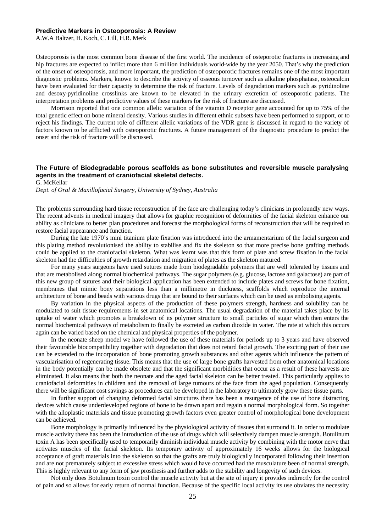#### **Predictive Markers in Osteoporosis: A Review**

A.W.A Baltzer, H. Koch, C. Lill, H.R. Merk

Osteoporosis is the most common bone disease of the first world. The incidence of osteporotic fractures is increasing and hip fractures are expected to inflict more than 6 million individuals world-wide by the year 2050. That's why the prediction of the onset of osteoporosis, and more important, the prediction of osteoporotic fractures remains one of the most important diagnostic problems. Markers, known to describe the activity of osseous turnover such as alkaline phosphatase, osteocalcin have been evaluated for their capacity to determine the risk of fracture. Levels of degradation markers such as pyridinoline and desoxy-pyridinoline crosslinks are known to be elevated in the urinary excretion of osteoporotic patients. The interpretation problems and predictive values of these markers for the risk of fracture are discussed.

Morrison reported that one common allelic variation of the vitamin D receptor gene accounted for up to 75% of the total genetic effect on bone mineral density. Various studies in different ethnic subsets have been performed to support, or to reject his findings. The current role of different allelic variations of the VDR gene is discussed in regard to the variety of factors known to be afflicted with osteoporotic fractures. A future management of the diagnostic procedure to predict the onset and the risk of fracture will be discussed.

## **The Future of Biodegradable porous scaffolds as bone substitutes and reversible muscle paralysing agents in the treatment of craniofacial skeletal defects.**

G. McKellar

*Dept. of Oral & Maxillofacial Surgery, University of Sydney, Australia*

The problems surrounding hard tissue reconstruction of the face are challenging today's clinicians in profoundly new ways. The recent advents in medical imagery that allows for graphic recognition of deformities of the facial skeleton enhance our ability as clinicians to better plan procedures and forecast the morphological forms of reconstruction that will be required to restore facial appearance and function.

During the late 1970's mini titanium plate fixation was introduced into the armamentarium of the facial surgeon and this plating method revolutionised the ability to stabilise and fix the skeleton so that more precise bone grafting methods could be applied to the craniofacial skeleton. What was learnt was that this form of plate and screw fixation in the facial skeleton had the difficulties of growth retardation and migration of plates as the skeleton matured.

For many years surgeons have used sutures made from biodegradable polymers that are well tolerated by tissues and that are metabolised along normal biochemical pathways. The sugar polymers (e.g. glucose, lactose and galactose) are part of this new group of sutures and their biological application has been extended to include plates and screws for bone fixation, membranes that mimic bony separations less than a millimetre in thickness, scaffolds which reproduce the internal architecture of bone and beads with various drugs that are bound to their surfaces which can be used as embolising agents.

By variation in the physical aspects of the production of these polymers strength, hardness and solubility can be modulated to suit tissue requirements in set anatomical locations. The usual degradation of the material takes place by its uptake of water which promotes a breakdown of its polymer structure to small particles of sugar which then enters the normal biochemical pathways of metabolism to finally be excreted as carbon dioxide in water. The rate at which this occurs again can be varied based on the chemical and physical properties of the polymer.

In the neonate sheep model we have followed the use of these materials for periods up to 3 years and have observed their favourable biocompatibility together with degradation that does not retard facial growth. The exciting part of their use can be extended to the incorporation of bone promoting growth substances and other agents which influence the pattern of vascularisation of regenerating tissue. This means that the use of large bone grafts harvested from other anatomical locations in the body potentially can be made obsolete and that the significant morbidities that occur as a result of these harvests are eliminated. It also means that both the neonate and the aged facial skeleton can be better treated. This particularly applies to craniofacial deformities in children and the removal of large tumours of the face from the aged population. Consequently there will be significant cost savings as procedures can be developed in the laboratory to ultimately grow these tissue parts.

In further support of changing deformed facial structures there has been a resurgence of the use of bone distracting devices which cause underdeveloped regions of bone to be drawn apart and regain a normal morphological form. So together with the alloplastic materials and tissue promoting growth factors even greater control of morphological bone development can be achieved.

Bone morphology is primarily influenced by the physiological activity of tissues that surround it. In order to modulate muscle activity there has been the introduction of the use of drugs which will selectively dampen muscle strength. Botulinum toxin A has been specifically used to temporarily diminish individual muscle activity by combining with the motor nerve that activates muscles of the facial skeleton. Its temporary activity of approximately 16 weeks allows for the biological acceptance of graft materials into the skeleton so that the grafts are truly biologically incorporated following their insertion and are not prematurely subject to excessive stress which would have occurred had the musculature been of normal strength. This is highly relevant to any form of jaw prosthesis and further adds to the stability and longevity of such devices.

Not only does Botulinum toxin control the muscle activity but at the site of injury it provides indirectly for the control of pain and so allows for early return of normal function. Because of the specific local activity its use obviates the necessity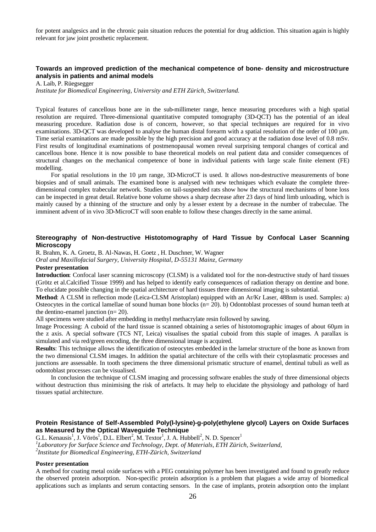for potent analgesics and in the chronic pain situation reduces the potential for drug addiction. This situation again is highly relevant for jaw joint prosthetic replacement.

## **Towards an improved prediction of the mechanical competence of bone- density and microstructure analysis in patients and animal models**

A. Laib, P. Rüegsegger

*Institute for Biomedical Engineering, University and ETH Zürich, Switzerland.*

Typical features of cancellous bone are in the sub-millimeter range, hence measuring procedures with a high spatial resolution are required. Three-dimensional quantitative computed tomography (3D-QCT) has the potential of an ideal measuring procedure. Radiation dose is of concern, however, so that special techniques are required for in vivo examinations. 3D-OCT was developed to analyse the human distal forearm with a spatial resolution of the order of 100 µm. Time serial examinations are made possible by the high precision and good accuracy at the radiation dose level of 0.8 mSv. First results of longitudinal examinations of postmenopausal women reveal surprising temporal changes of cortical and cancellous bone. Hence it is now possible to base theoretical models on real patient data and consider consequences of structural changes on the mechanical competence of bone in individual patients with large scale finite element (FE) modelling.

For spatial resolutions in the 10 µm range, 3D-MicroCT is used. It allows non-destructive measurements of bone biopsies and of small animals. The examined bone is analysed with new techniques which evaluate the complete threedimensional complex trabecular network. Studies on tail-suspended rats show how the structural mechanisms of bone loss can be inspected in great detail. Relative bone volume shows a sharp decrease after 23 days of hind limb unloading, which is mainly caused by a thinning of the structure and only by a lesser extent by a decrease in the number of trabeculae. The imminent advent of in vivo 3D-MicroCT will soon enable to follow these changes directly in the same animal.

## **Stereography of Non-destructive Histotomography of Hard Tissue by Confocal Laser Scanning Microscopy**

R. Brahm, K. A. Groetz, B. Al-Nawas, H. Goetz , H. Duschner, W. Wagner

*Oral and Maxillofacial Surgery, University Hospital, D-55131 Mainz, Germany*

#### **Poster presentation**

**Introduction**: Confocal laser scanning microscopy (CLSM) is a validated tool for the non-destructive study of hard tissues (Grötz et al.Calcified Tissue 1999) and has helped to identify early consequences of radiation therapy on dentine and bone. To elucidate possible changing in the spatial architecture of hard tissues three dimensional imaging is substantial.

**Method**: A CLSM in reflection mode (Leica-CLSM Aristoplan) equipped with an Ar/Kr Laser, 488nm is used. Samples: a) Osteocytes in the cortical lamellae of sound human bone blocks  $(n= 20)$ . b) Odontoblast processes of sound human teeth at the dentino-enamel junction  $(n=20)$ .

All specimens were studied after embedding in methyl methacrylate resin followed by sawing.

Image Processing: A cuboid of the hard tissue is scanned obtaining a series of histotomographic images of about 60µm in the z axis. A special software (TCS NT, Leica) visualises the spatial cuboid from this staple of images. A parallax is simulated and via red/green encoding, the three dimensional image is acquired.

**Results**: This technique allows the identification of osteocytes embedded in the lamelar structure of the bone as known from the two dimensional CLSM images. In addition the spatial architecture of the cells with their cytoplasmatic processes and junctions are assessable. In tooth specimens the three dimensional prismatic structure of enamel, dentinal tubuli as well as odontoblast processes can be visualised.

In conclusion the technique of CLSM imaging and processing software enables the study of three dimensional objects without destruction thus minimising the risk of artefacts. It may help to elucidate the physiology and pathology of hard tissues spatial architecture.

## **Protein Resistance of Self-Assembled Poly(l-lysine)-g-poly(ethylene glycol) Layers on Oxide Surfaces as Measured by the Optical Waveguide Technique**

G.L. Kenausis<sup>1</sup>, J. Vörös<sup>1</sup>, D.L. Elbert<sup>2</sup>, M. Textor<sup>1</sup>, J. A. Hubbell<sup>2</sup>, N. D. Spencer<sup>1</sup> *1 Laboratory for Surface Science and Technology, Dept. of Materials, ETH Zürich, Switzerland, 2 Institute for Biomedical Engineering, ETH-Zürich, Switzerland*

#### **Poster presentation**

A method for coating metal oxide surfaces with a PEG containing polymer has been investigated and found to greatly reduce the observed protein adsorption. Non-specific protein adsorption is a problem that plagues a wide array of biomedical applications such as implants and serum contacting sensors. In the case of implants, protein adsorption onto the implant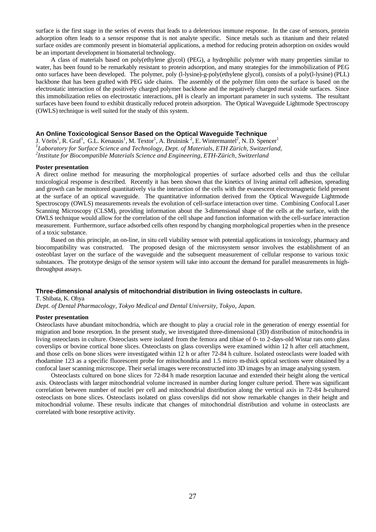surface is the first stage in the series of events that leads to a deleterious immune response. In the case of sensors, protein adsorption often leads to a sensor response that is not analyte specific. Since metals such as titanium and their related surface oxides are commonly present in biomaterial applications, a method for reducing protein adsorption on oxides would be an important development in biomaterial technology.

A class of materials based on poly(ethylene glycol) (PEG), a hydrophilic polymer with many properties similar to water, has been found to be remarkably resistant to protein adsorption, and many strategies for the immobilization of PEG onto surfaces have been developed. The polymer, poly (l-lysine)-g-poly(ethylene glycol), consists of a poly(l-lysine) (PLL) backbone that has been grafted with PEG side chains. The assembly of the polymer film onto the surface is based on the electrostatic interaction of the positively charged polymer backbone and the negatively charged metal oxide surfaces. Since this immobilization relies on electrostatic interactions, pH is clearly an important parameter in such systems. The resultant surfaces have been found to exhibit drastically reduced protein adsorption. The Optical Waveguide Lightmode Spectroscopy (OWLS) technique is well suited for the study of this system.

## **An Online Toxicological Sensor Based on the Optical Waveguide Technique**

J. Vörös<sup>1</sup>, R. Graf<sup>1</sup>, G.L. Kenausis<sup>1</sup>, M. Textor<sup>1</sup>, A. Bruinink<sup>2</sup>, E. Wintermantel<sup>2</sup>, N. D. Spencer<sup>1</sup> *1 Laboratory for Surface Science and Technology, Dept. of Materials, ETH Zürich, Switzerland, 2 Institute for Biocompatible Materials Science and Engineering, ETH-Zürich, Switzerland*

#### **Poster presentation**

A direct online method for measuring the morphological properties of surface adsorbed cells and thus the cellular toxicological response is described. Recently it has been shown that the kinetics of living animal cell adhesion, spreading and growth can be monitored quantitatively via the interaction of the cells with the evanescent electromagnetic field present at the surface of an optical waveguide. The quantitative information derived from the Optical Waveguide Lightmode Spectroscopy (OWLS) measurements reveals the evolution of cell-surface interaction over time. Combining Confocal Laser Scanning Microscopy (CLSM), providing information about the 3-dimensional shape of the cells at the surface, with the OWLS technique would allow for the correlation of the cell shape and function information with the cell-surface interaction measurement. Furthermore, surface adsorbed cells often respond by changing morphological properties when in the presence of a toxic substance.

Based on this principle, an on-line, in situ cell viability sensor with potential applications in toxicology, pharmacy and biocompatibility was constructed. The proposed design of the microsystem sensor involves the establishment of an osteoblast layer on the surface of the waveguide and the subsequent measurement of cellular response to various toxic substances. The prototype design of the sensor system will take into account the demand for parallel measurements in highthroughput assays.

#### **Three-dimensional analysis of mitochondrial distribution in living osteoclasts in culture.**

T. Shibata, K. Ohya

*Dept. of Dental Pharmacology, Tokyo Medical and Dental University, Tokyo, Japan.*

#### **Poster presentation**

Osteoclasts have abundant mitochondria, which are thought to play a crucial role in the generation of energy essential for migration and bone resorption. In the present study, we investigated three-dimensional (3D) distribution of mitochondria in living osteoclasts in culture. Osteoclasts were isolated from the femora and tibiae of 0- to 2-days-old Wistar rats onto glass coverslips or bovine cortical bone slices. Osteoclasts on glass coverslips were examined within 12 h after cell attachment, and those cells on bone slices were investigated within 12 h or after 72-84 h culture. Isolated osteoclasts were loaded with rhodamine 123 as a specific fluorescent probe for mitochondria and 1.5 micro m-thick optical sections were obtained by a confocal laser scanning microscope. Their serial images were reconstructed into 3D images by an image analysing system.

Osteoclasts cultured on bone slices for 72-84 h made resorption lacunae and extended their height along the vertical axis. Osteoclasts with larger mitochondrial volume increased in number during longer culture period. There was significant correlation between number of nuclei per cell and mitochondrial distribution along the vertical axis in 72-84 h-cultured osteoclasts on bone slices. Osteoclasts isolated on glass coverslips did not show remarkable changes in their height and mitochondrial volume. These results indicate that changes of mitochondrial distribution and volume in osteoclasts are correlated with bone resorptive activity.